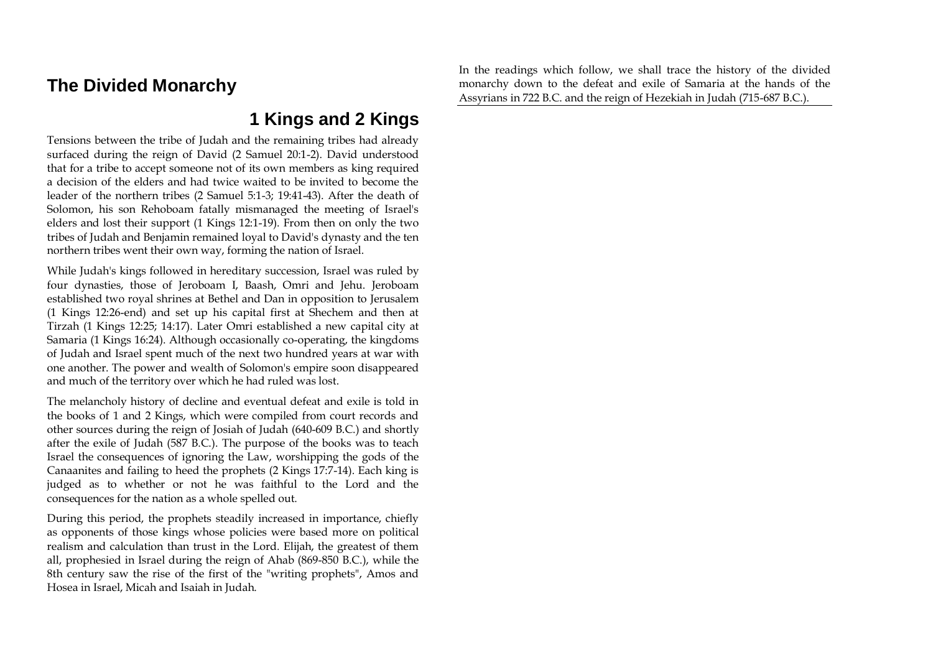# **The Divided Monarchy**

In the readings which follow, we shall trace the history of the divided monarchy down to the defeat and exile of Samaria at the hands of the Assyrians in 722 B.C. and the reign of Hezekiah in Judah (715-687 B.C.).

# **1 Kings and 2 Kings**

Tensions between the tribe of Judah and the remaining tribes had already surfaced during the reign of David (2 Samuel 20:1-2). David understood that for a tribe to accept someone not of its own members as king required a decision of the elders and had twice waited to be invited to become the leader of the northern tribes (2 Samuel 5:1-3; 19:41-43). After the death of Solomon, his son Rehoboam fatally mismanaged the meeting of Israel's elders and lost their support (1 Kings 12:1-19). From then on only the two tribes of Judah and Benjamin remained loyal to David's dynasty and the ten northern tribes went their own way, forming the nation of Israel.

While Judah's kings followed in hereditary succession, Israel was ruled by four dynasties, those of Jeroboam I, Baash, Omri and Jehu. Jeroboam established two royal shrines at Bethel and Dan in opposition to Jerusalem (1 Kings 12:26-end) and set up his capital first at Shechem and then at Tirzah (1 Kings 12:25; 14:17). Later Omri established a new capital city at Samaria (1 Kings 16:24). Although occasionally co-operating, the kingdoms of Judah and Israel spent much of the next two hundred years at war with one another. The power and wealth of Solomon's empire soon disappeared and much of the territory over which he had ruled was lost.

The melancholy history of decline and eventual defeat and exile is told in the books of 1 and 2 Kings, which were compiled from court records and other sources during the reign of Josiah of Judah (640-609 B.C.) and shortly after the exile of Judah (587 B.C.). The purpose of the books was to teach Israel the consequences of ignoring the Law, worshipping the gods of the Canaanites and failing to heed the prophets (2 Kings 17:7-14). Each king is judged as to whether or not he was faithful to the Lord and the consequences for the nation as a whole spelled out.

During this period, the prophets steadily increased in importance, chiefly as opponents of those kings whose policies were based more on political realism and calculation than trust in the Lord. Elijah, the greatest of them all, prophesied in Israel during the reign of Ahab (869-850 B.C.), while the 8th century saw the rise of the first of the "writing prophets", Amos and Hosea in Israel, Micah and Isaiah in Judah.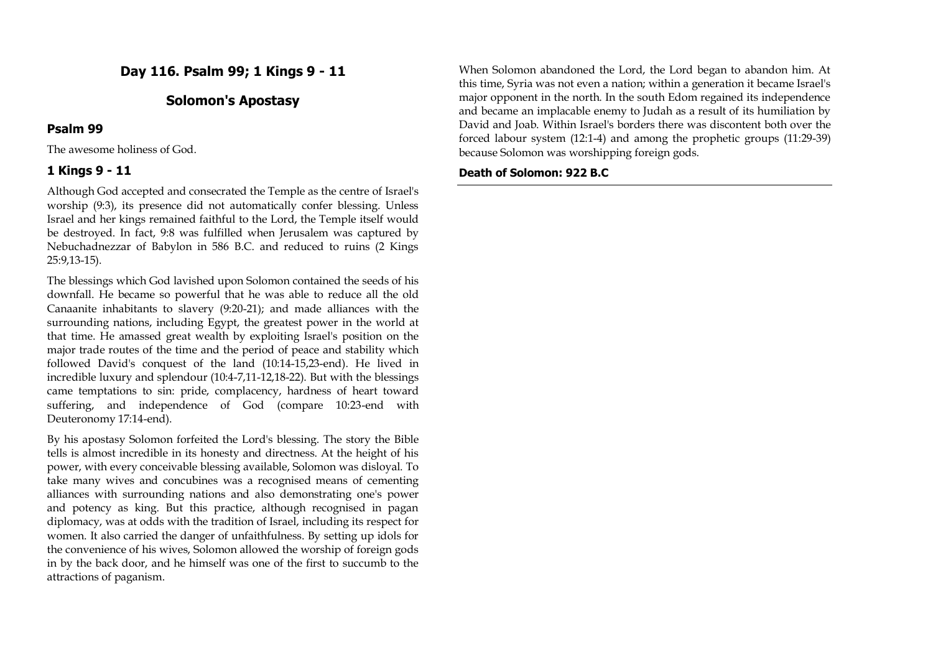**Day 116. Psalm 99; 1 Kings 9 - 11**

## **Solomon's Apostasy**

#### **Psalm 99**

The awesome holiness of God.

#### **1 Kings 9 - 11**

Although God accepted and consecrated the Temple as the centre of Israel's worship (9:3), its presence did not automatically confer blessing. Unless Israel and her kings remained faithful to the Lord, the Temple itself would be destroyed. In fact, 9:8 was fulfilled when Jerusalem was captured by Nebuchadnezzar of Babylon in 586 B.C. and reduced to ruins (2 Kings 25:9,13-15).

The blessings which God lavished upon Solomon contained the seeds of his downfall. He became so powerful that he was able to reduce all the old Canaanite inhabitants to slavery (9:20-21); and made alliances with the surrounding nations, including Egypt, the greatest power in the world at that time. He amassed great wealth by exploiting Israel's position on the major trade routes of the time and the period of peace and stability which followed David's conquest of the land (10:14-15,23-end). He lived in incredible luxury and splendour (10:4-7,11-12,18-22). But with the blessings came temptations to sin: pride, complacency, hardness of heart toward suffering, and independence of God (compare 10:23-end with Deuteronomy 17:14-end).

By his apostasy Solomon forfeited the Lord's blessing. The story the Bible tells is almost incredible in its honesty and directness. At the height of his power, with every conceivable blessing available, Solomon was disloyal. To take many wives and concubines was a recognised means of cementing alliances with surrounding nations and also demonstrating one's power and potency as king. But this practice, although recognised in pagan diplomacy, was at odds with the tradition of Israel, including its respect for women. It also carried the danger of unfaithfulness. By setting up idols for the convenience of his wives, Solomon allowed the worship of foreign gods in by the back door, and he himself was one of the first to succumb to the attractions of paganism.

When Solomon abandoned the Lord, the Lord began to abandon him. At this time, Syria was not even a nation; within a generation it became Israel's major opponent in the north. In the south Edom regained its independence and became an implacable enemy to Judah as a result of its humiliation by David and Joab. Within Israel's borders there was discontent both over the forced labour system (12:1-4) and among the prophetic groups (11:29-39) because Solomon was worshipping foreign gods.

#### **Death of Solomon: 922 B.C**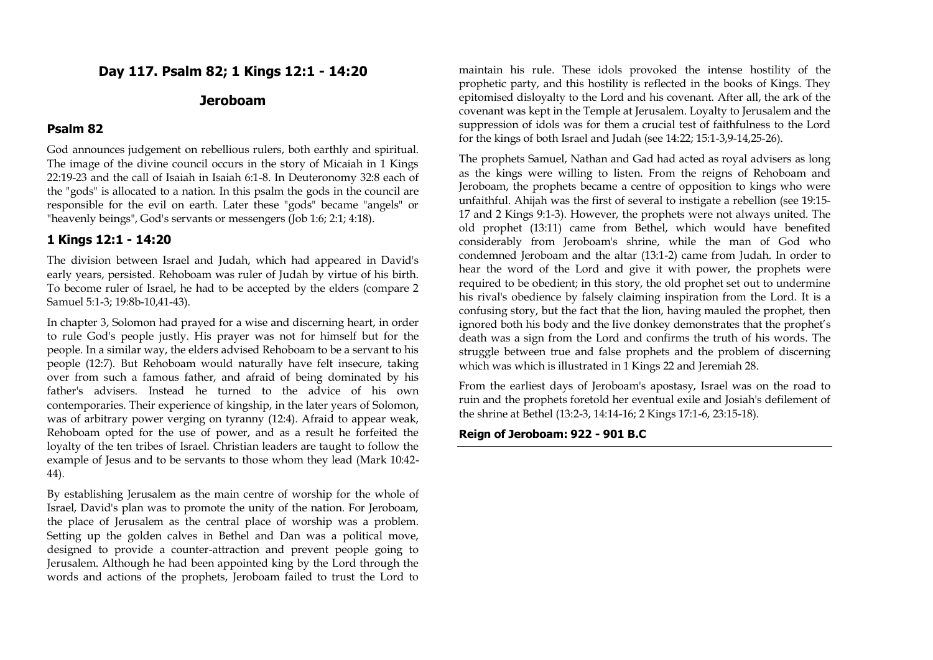## **Day 117. Psalm 82; 1 Kings 12:1 - 14:20**

#### **Jeroboam**

#### **Psalm 82**

God announces judgement on rebellious rulers, both earthly and spiritual. The image of the divine council occurs in the story of Micaiah in 1 Kings 22:19-23 and the call of Isaiah in Isaiah 6:1-8. In Deuteronomy 32:8 each of the "gods" is allocated to a nation. In this psalm the gods in the council are responsible for the evil on earth. Later these "gods" became "angels" or "heavenly beings", God's servants or messengers (Job 1:6; 2:1; 4:18).

#### **1 Kings 12:1 - 14:20**

The division between Israel and Judah, which had appeared in David's early years, persisted. Rehoboam was ruler of Judah by virtue of his birth. To become ruler of Israel, he had to be accepted by the elders (compare 2 Samuel 5:1-3; 19:8b-10,41-43).

In chapter 3, Solomon had prayed for a wise and discerning heart, in order to rule God's people justly. His prayer was not for himself but for the people. In a similar way, the elders advised Rehoboam to be a servant to his people (12:7). But Rehoboam would naturally have felt insecure, taking over from such a famous father, and afraid of being dominated by his father's advisers. Instead he turned to the advice of his own contemporaries. Their experience of kingship, in the later years of Solomon, was of arbitrary power verging on tyranny (12:4). Afraid to appear weak, Rehoboam opted for the use of power, and as a result he forfeited the loyalty of the ten tribes of Israel. Christian leaders are taught to follow the example of Jesus and to be servants to those whom they lead (Mark 10:42- 44).

By establishing Jerusalem as the main centre of worship for the whole of Israel, David's plan was to promote the unity of the nation. For Jeroboam, the place of Jerusalem as the central place of worship was a problem. Setting up the golden calves in Bethel and Dan was a political move, designed to provide a counter-attraction and prevent people going to Jerusalem. Although he had been appointed king by the Lord through the words and actions of the prophets, Jeroboam failed to trust the Lord to

maintain his rule. These idols provoked the intense hostility of the prophetic party, and this hostility is reflected in the books of Kings. They epitomised disloyalty to the Lord and his covenant. After all, the ark of the covenant was kept in the Temple at Jerusalem. Loyalty to Jerusalem and the suppression of idols was for them a crucial test of faithfulness to the Lord for the kings of both Israel and Judah (see 14:22; 15:1-3,9-14,25-26).

The prophets Samuel, Nathan and Gad had acted as royal advisers as long as the kings were willing to listen. From the reigns of Rehoboam and Jeroboam, the prophets became a centre of opposition to kings who were unfaithful. Ahijah was the first of several to instigate a rebellion (see 19:15- 17 and 2 Kings 9:1-3). However, the prophets were not always united. The old prophet (13:11) came from Bethel, which would have benefited considerably from Jeroboam's shrine, while the man of God who condemned Jeroboam and the altar (13:1-2) came from Judah. In order to hear the word of the Lord and give it with power, the prophets were required to be obedient; in this story, the old prophet set out to undermine his rival's obedience by falsely claiming inspiration from the Lord. It is a confusing story, but the fact that the lion, having mauled the prophet, then ignored both his body and the live donkey demonstrates that the prophet's death was a sign from the Lord and confirms the truth of his words. The struggle between true and false prophets and the problem of discerning which was which is illustrated in 1 Kings 22 and Jeremiah 28.

From the earliest days of Jeroboam's apostasy, Israel was on the road to ruin and the prophets foretold her eventual exile and Josiah's defilement of the shrine at Bethel (13:2-3, 14:14-16; 2 Kings 17:1-6, 23:15-18).

#### **Reign of Jeroboam: 922 - 901 B.C**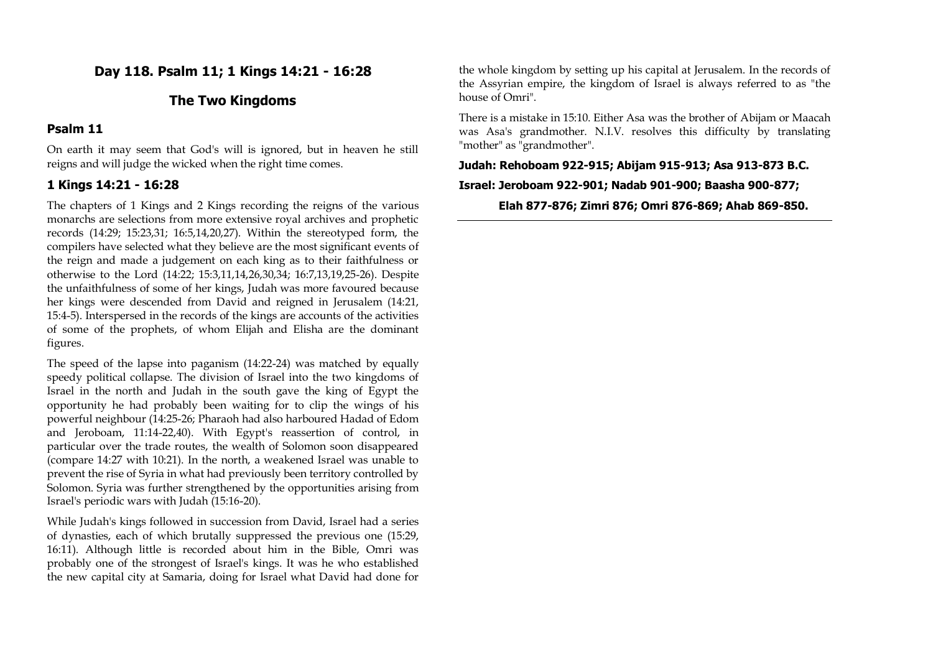## **Day 118. Psalm 11; 1 Kings 14:21 - 16:28**

## **The Two Kingdoms**

## **Psalm 11**

On earth it may seem that God's will is ignored, but in heaven he still reigns and will judge the wicked when the right time comes.

#### **1 Kings 14:21 - 16:28**

The chapters of 1 Kings and 2 Kings recording the reigns of the various monarchs are selections from more extensive royal archives and prophetic records (14:29; 15:23,31; 16:5,14,20,27). Within the stereotyped form, the compilers have selected what they believe are the most significant events of the reign and made a judgement on each king as to their faithfulness or otherwise to the Lord (14:22; 15:3,11,14,26,30,34; 16:7,13,19,25-26). Despite the unfaithfulness of some of her kings, Judah was more favoured because her kings were descended from David and reigned in Jerusalem (14:21, 15:4-5). Interspersed in the records of the kings are accounts of the activities of some of the prophets, of whom Elijah and Elisha are the dominant figures.

The speed of the lapse into paganism (14:22-24) was matched by equally speedy political collapse. The division of Israel into the two kingdoms of Israel in the north and Judah in the south gave the king of Egypt the opportunity he had probably been waiting for to clip the wings of his powerful neighbour (14:25-26; Pharaoh had also harboured Hadad of Edom and Jeroboam, 11:14-22,40). With Egypt's reassertion of control, in particular over the trade routes, the wealth of Solomon soon disappeared (compare 14:27 with 10:21). In the north, a weakened Israel was unable to prevent the rise of Syria in what had previously been territory controlled by Solomon. Syria was further strengthened by the opportunities arising from Israel's periodic wars with Judah (15:16-20).

While Judah's kings followed in succession from David, Israel had a series of dynasties, each of which brutally suppressed the previous one (15:29, 16:11). Although little is recorded about him in the Bible, Omri was probably one of the strongest of Israel's kings. It was he who established the new capital city at Samaria, doing for Israel what David had done for the whole kingdom by setting up his capital at Jerusalem. In the records of the Assyrian empire, the kingdom of Israel is always referred to as "the house of Omri".

There is a mistake in 15:10. Either Asa was the brother of Abijam or Maacah was Asa's grandmother. N.I.V. resolves this difficulty by translating "mother" as "grandmother".

**Judah: Rehoboam 922-915; Abijam 915-913; Asa 913-873 B.C.**

**Israel: Jeroboam 922-901; Nadab 901-900; Baasha 900-877;** 

**Elah 877-876; Zimri 876; Omri 876-869; Ahab 869-850.**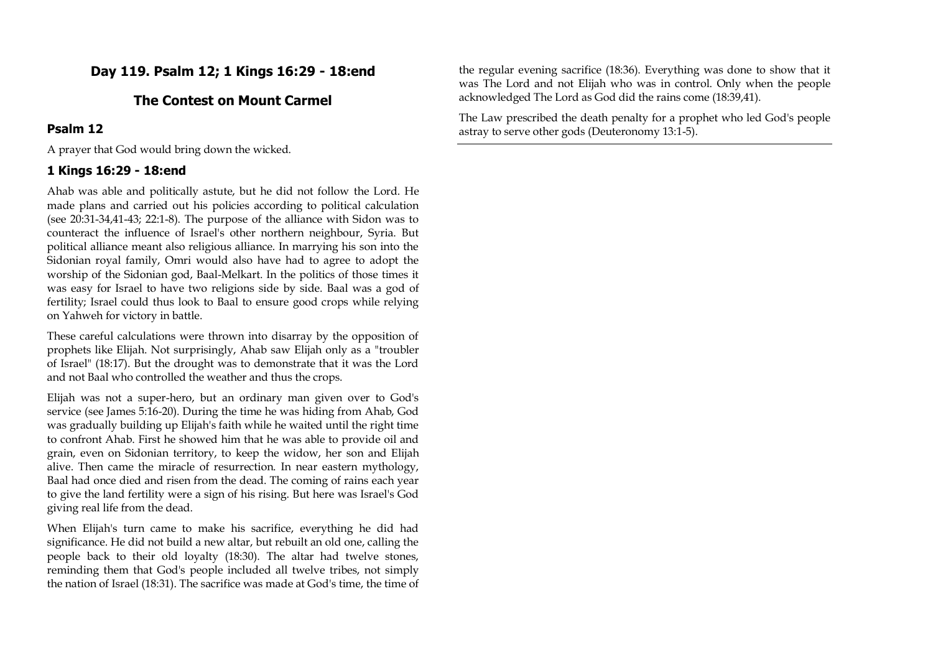## **Day 119. Psalm 12; 1 Kings 16:29 - 18:end**

## **The Contest on Mount Carmel**

## **Psalm 12**

A prayer that God would bring down the wicked.

## **1 Kings 16:29 - 18:end**

Ahab was able and politically astute, but he did not follow the Lord. He made plans and carried out his policies according to political calculation (see 20:31-34,41-43; 22:1-8). The purpose of the alliance with Sidon was to counteract the influence of Israel's other northern neighbour, Syria. But political alliance meant also religious alliance. In marrying his son into the Sidonian royal family, Omri would also have had to agree to adopt the worship of the Sidonian god, Baal-Melkart. In the politics of those times it was easy for Israel to have two religions side by side. Baal was a god of fertility; Israel could thus look to Baal to ensure good crops while relying on Yahweh for victory in battle.

These careful calculations were thrown into disarray by the opposition of prophets like Elijah. Not surprisingly, Ahab saw Elijah only as a "troubler of Israel" (18:17). But the drought was to demonstrate that it was the Lord and not Baal who controlled the weather and thus the crops.

Elijah was not a super-hero, but an ordinary man given over to God's service (see James 5:16-20). During the time he was hiding from Ahab, God was gradually building up Elijah's faith while he waited until the right time to confront Ahab. First he showed him that he was able to provide oil and grain, even on Sidonian territory, to keep the widow, her son and Elijah alive. Then came the miracle of resurrection. In near eastern mythology, Baal had once died and risen from the dead. The coming of rains each year to give the land fertility were a sign of his rising. But here was Israel's God giving real life from the dead.

When Elijah's turn came to make his sacrifice, everything he did had significance. He did not build a new altar, but rebuilt an old one, calling the people back to their old loyalty (18:30). The altar had twelve stones, reminding them that God's people included all twelve tribes, not simply the nation of Israel (18:31). The sacrifice was made at God's time, the time of the regular evening sacrifice (18:36). Everything was done to show that it was The Lord and not Elijah who was in control. Only when the people acknowledged The Lord as God did the rains come (18:39,41).

The Law prescribed the death penalty for a prophet who led God's people astray to serve other gods (Deuteronomy 13:1-5).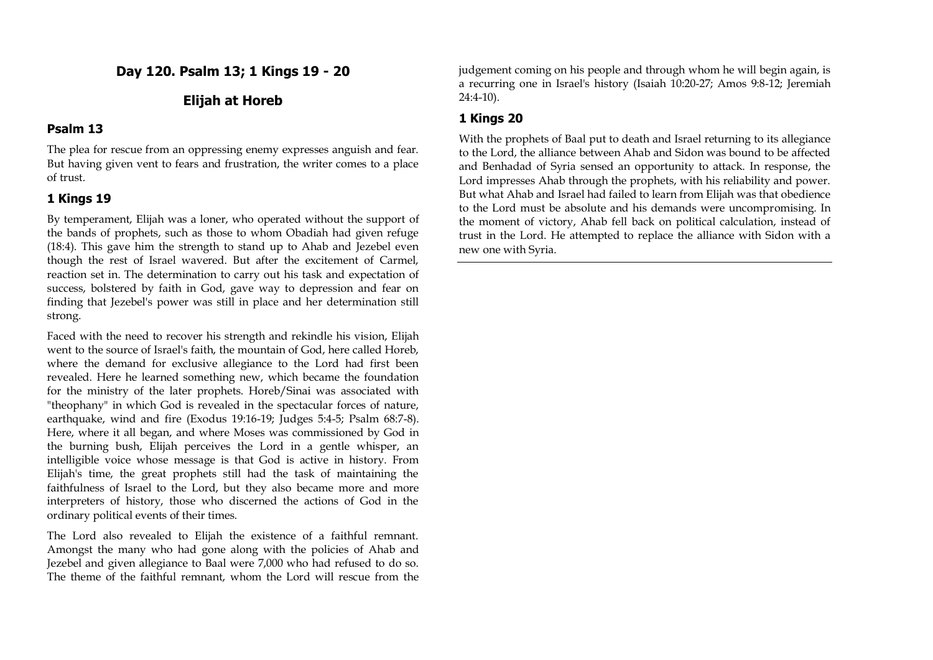**Day 120. Psalm 13; 1 Kings 19 - 20**

## **Elijah at Horeb**

#### **Psalm 13**

The plea for rescue from an oppressing enemy expresses anguish and fear. But having given vent to fears and frustration, the writer comes to a place of trust.

#### **1 Kings 19**

By temperament, Elijah was a loner, who operated without the support of the bands of prophets, such as those to whom Obadiah had given refuge (18:4). This gave him the strength to stand up to Ahab and Jezebel even though the rest of Israel wavered. But after the excitement of Carmel, reaction set in. The determination to carry out his task and expectation of success, bolstered by faith in God, gave way to depression and fear on finding that Jezebel's power was still in place and her determination still strong.

Faced with the need to recover his strength and rekindle his vision, Elijah went to the source of Israel's faith, the mountain of God, here called Horeb, where the demand for exclusive allegiance to the Lord had first been revealed. Here he learned something new, which became the foundation for the ministry of the later prophets. Horeb/Sinai was associated with "theophany" in which God is revealed in the spectacular forces of nature, earthquake, wind and fire (Exodus 19:16-19; Judges 5:4-5; Psalm 68:7-8). Here, where it all began, and where Moses was commissioned by God in the burning bush, Elijah perceives the Lord in a gentle whisper, an intelligible voice whose message is that God is active in history. From Elijah's time, the great prophets still had the task of maintaining the faithfulness of Israel to the Lord, but they also became more and more interpreters of history, those who discerned the actions of God in the ordinary political events of their times.

The Lord also revealed to Elijah the existence of a faithful remnant. Amongst the many who had gone along with the policies of Ahab and Jezebel and given allegiance to Baal were 7,000 who had refused to do so. The theme of the faithful remnant, whom the Lord will rescue from the judgement coming on his people and through whom he will begin again, is a recurring one in Israel's history (Isaiah 10:20-27; Amos 9:8-12; Jeremiah 24:4-10).

## **1 Kings 20**

With the prophets of Baal put to death and Israel returning to its allegiance to the Lord, the alliance between Ahab and Sidon was bound to be affected and Benhadad of Syria sensed an opportunity to attack. In response, the Lord impresses Ahab through the prophets, with his reliability and power. But what Ahab and Israel had failed to learn from Elijah was that obedience to the Lord must be absolute and his demands were uncompromising. In the moment of victory, Ahab fell back on political calculation, instead of trust in the Lord. He attempted to replace the alliance with Sidon with a new one with Syria.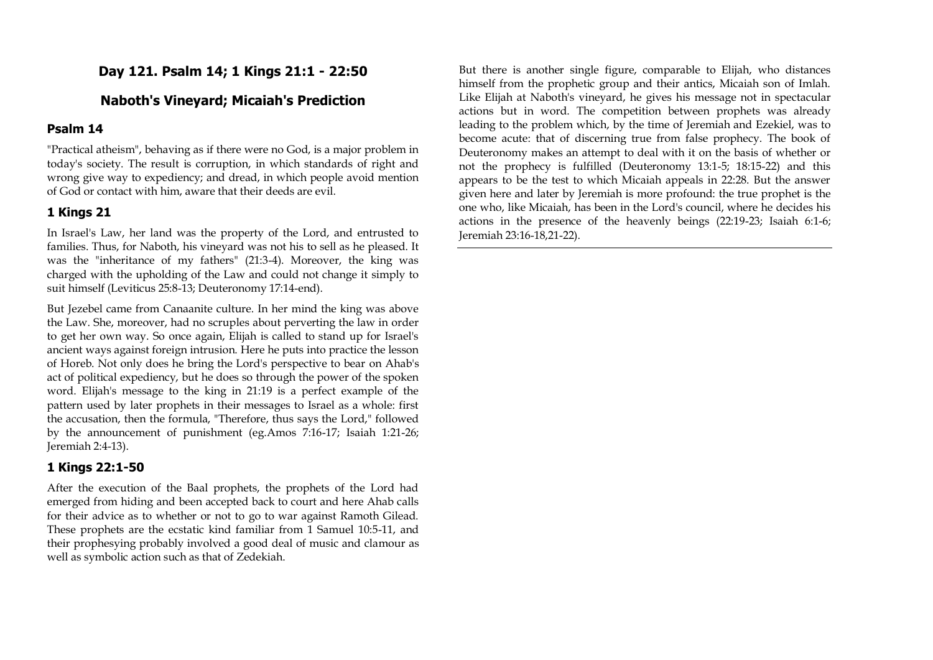## **Day 121. Psalm 14; 1 Kings 21:1 - 22:50**

## **Naboth's Vineyard; Micaiah's Prediction**

#### **Psalm 14**

"Practical atheism", behaving as if there were no God, is a major problem in today's society. The result is corruption, in which standards of right and wrong give way to expediency; and dread, in which people avoid mention of God or contact with him, aware that their deeds are evil.

## **1 Kings 21**

In Israel's Law, her land was the property of the Lord, and entrusted to families. Thus, for Naboth, his vineyard was not his to sell as he pleased. It was the "inheritance of my fathers" (21:3-4). Moreover, the king was charged with the upholding of the Law and could not change it simply to suit himself (Leviticus 25:8-13; Deuteronomy 17:14-end).

But Jezebel came from Canaanite culture. In her mind the king was above the Law. She, moreover, had no scruples about perverting the law in order to get her own way. So once again, Elijah is called to stand up for Israel's ancient ways against foreign intrusion. Here he puts into practice the lesson of Horeb. Not only does he bring the Lord's perspective to bear on Ahab's act of political expediency, but he does so through the power of the spoken word. Elijah's message to the king in 21:19 is a perfect example of the pattern used by later prophets in their messages to Israel as a whole: first the accusation, then the formula, "Therefore, thus says the Lord," followed by the announcement of punishment (eg.Amos 7:16-17; Isaiah 1:21-26; Jeremiah 2:4-13).

#### **1 Kings 22:1-50**

After the execution of the Baal prophets, the prophets of the Lord had emerged from hiding and been accepted back to court and here Ahab calls for their advice as to whether or not to go to war against Ramoth Gilead. These prophets are the ecstatic kind familiar from 1 Samuel 10:5-11, and their prophesying probably involved a good deal of music and clamour as well as symbolic action such as that of Zedekiah.

But there is another single figure, comparable to Elijah, who distances himself from the prophetic group and their antics, Micaiah son of Imlah. Like Elijah at Naboth's vineyard, he gives his message not in spectacular actions but in word. The competition between prophets was already leading to the problem which, by the time of Jeremiah and Ezekiel, was to become acute: that of discerning true from false prophecy. The book of Deuteronomy makes an attempt to deal with it on the basis of whether or not the prophecy is fulfilled (Deuteronomy 13:1-5; 18:15-22) and this appears to be the test to which Micaiah appeals in 22:28. But the answer given here and later by Jeremiah is more profound: the true prophet is the one who, like Micaiah, has been in the Lord's council, where he decides his actions in the presence of the heavenly beings (22:19-23; Isaiah 6:1-6; Jeremiah 23:16-18,21-22).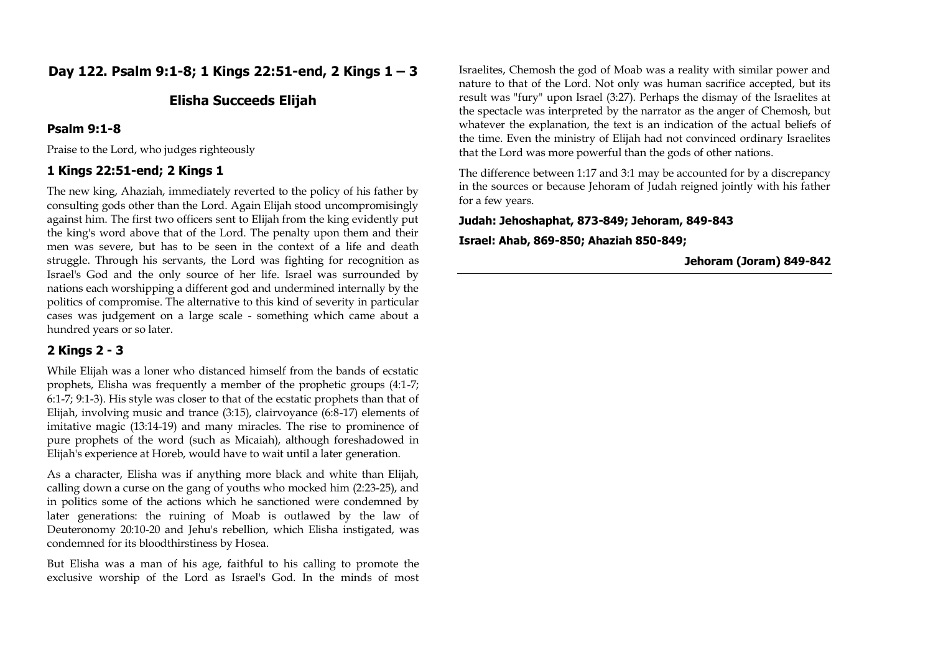## **Day 122. Psalm 9:1-8; 1 Kings 22:51-end, 2 Kings 1 – 3**

## **Elisha Succeeds Elijah**

#### **Psalm 9:1-8**

Praise to the Lord, who judges righteously

## **1 Kings 22:51-end; 2 Kings 1**

The new king, Ahaziah, immediately reverted to the policy of his father by consulting gods other than the Lord. Again Elijah stood uncompromisingly against him. The first two officers sent to Elijah from the king evidently put the king's word above that of the Lord. The penalty upon them and their men was severe, but has to be seen in the context of a life and death struggle. Through his servants, the Lord was fighting for recognition as Israel's God and the only source of her life. Israel was surrounded by nations each worshipping a different god and undermined internally by the politics of compromise. The alternative to this kind of severity in particular cases was judgement on a large scale - something which came about a hundred years or so later.

## **2 Kings 2 - 3**

While Elijah was a loner who distanced himself from the bands of ecstatic prophets, Elisha was frequently a member of the prophetic groups (4:1-7; 6:1-7; 9:1-3). His style was closer to that of the ecstatic prophets than that of Elijah, involving music and trance (3:15), clairvoyance (6:8-17) elements of imitative magic (13:14-19) and many miracles. The rise to prominence of pure prophets of the word (such as Micaiah), although foreshadowed in Elijah's experience at Horeb, would have to wait until a later generation.

As a character, Elisha was if anything more black and white than Elijah, calling down a curse on the gang of youths who mocked him (2:23-25), and in politics some of the actions which he sanctioned were condemned by later generations: the ruining of Moab is outlawed by the law of Deuteronomy 20:10-20 and Jehu's rebellion, which Elisha instigated, was condemned for its bloodthirstiness by Hosea.

But Elisha was a man of his age, faithful to his calling to promote the exclusive worship of the Lord as Israel's God. In the minds of most Israelites, Chemosh the god of Moab was a reality with similar power and nature to that of the Lord. Not only was human sacrifice accepted, but its result was "fury" upon Israel (3:27). Perhaps the dismay of the Israelites at the spectacle was interpreted by the narrator as the anger of Chemosh, but whatever the explanation, the text is an indication of the actual beliefs of the time. Even the ministry of Elijah had not convinced ordinary Israelites that the Lord was more powerful than the gods of other nations.

The difference between 1:17 and 3:1 may be accounted for by a discrepancy in the sources or because Jehoram of Judah reigned jointly with his father for a few years.

**Judah: Jehoshaphat, 873-849; Jehoram, 849-843**

**Israel: Ahab, 869-850; Ahaziah 850-849;** 

**Jehoram (Joram) 849-842**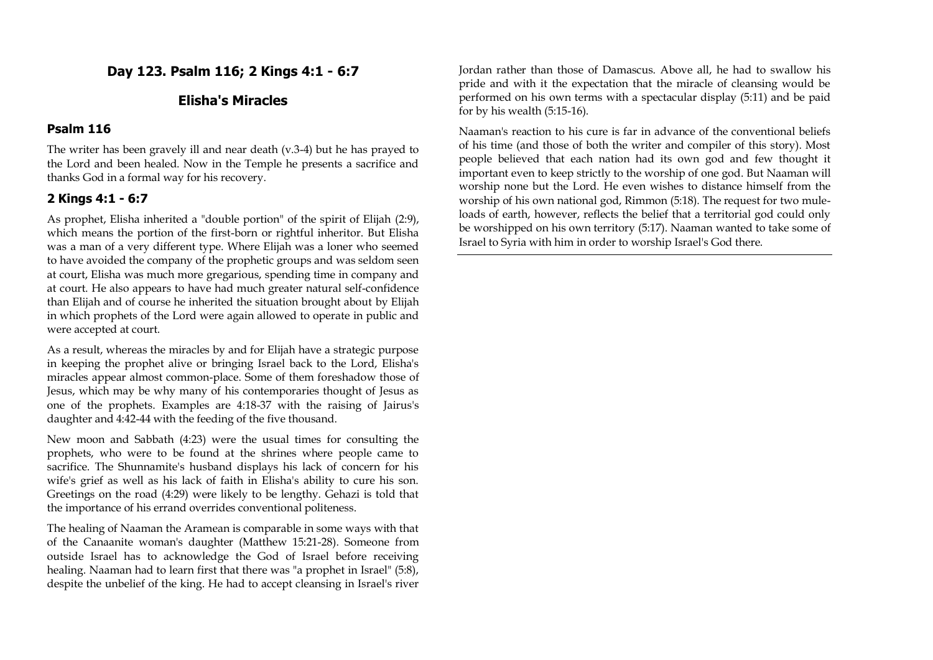**Day 123. Psalm 116; 2 Kings 4:1 - 6:7**

## **Elisha's Miracles**

#### **Psalm 116**

The writer has been gravely ill and near death (v.3-4) but he has prayed to the Lord and been healed. Now in the Temple he presents a sacrifice and thanks God in a formal way for his recovery.

## **2 Kings 4:1 - 6:7**

As prophet, Elisha inherited a "double portion" of the spirit of Elijah (2:9), which means the portion of the first-born or rightful inheritor. But Elisha was a man of a very different type. Where Elijah was a loner who seemed to have avoided the company of the prophetic groups and was seldom seen at court, Elisha was much more gregarious, spending time in company and at court. He also appears to have had much greater natural self-confidence than Elijah and of course he inherited the situation brought about by Elijah in which prophets of the Lord were again allowed to operate in public and were accepted at court.

As a result, whereas the miracles by and for Elijah have a strategic purpose in keeping the prophet alive or bringing Israel back to the Lord, Elisha's miracles appear almost common-place. Some of them foreshadow those of Jesus, which may be why many of his contemporaries thought of Jesus as one of the prophets. Examples are 4:18-37 with the raising of Jairus's daughter and 4:42-44 with the feeding of the five thousand.

New moon and Sabbath (4:23) were the usual times for consulting the prophets, who were to be found at the shrines where people came to sacrifice. The Shunnamite's husband displays his lack of concern for his wife's grief as well as his lack of faith in Elisha's ability to cure his son. Greetings on the road (4:29) were likely to be lengthy. Gehazi is told that the importance of his errand overrides conventional politeness.

The healing of Naaman the Aramean is comparable in some ways with that of the Canaanite woman's daughter (Matthew 15:21-28). Someone from outside Israel has to acknowledge the God of Israel before receiving healing. Naaman had to learn first that there was "a prophet in Israel" (5:8), despite the unbelief of the king. He had to accept cleansing in Israel's river

Jordan rather than those of Damascus. Above all, he had to swallow his pride and with it the expectation that the miracle of cleansing would be performed on his own terms with a spectacular display (5:11) and be paid for by his wealth (5:15-16).

Naaman's reaction to his cure is far in advance of the conventional beliefs of his time (and those of both the writer and compiler of this story). Most people believed that each nation had its own god and few thought it important even to keep strictly to the worship of one god. But Naaman will worship none but the Lord. He even wishes to distance himself from the worship of his own national god, Rimmon (5:18). The request for two muleloads of earth, however, reflects the belief that a territorial god could only be worshipped on his own territory (5:17). Naaman wanted to take some of Israel to Syria with him in order to worship Israel's God there.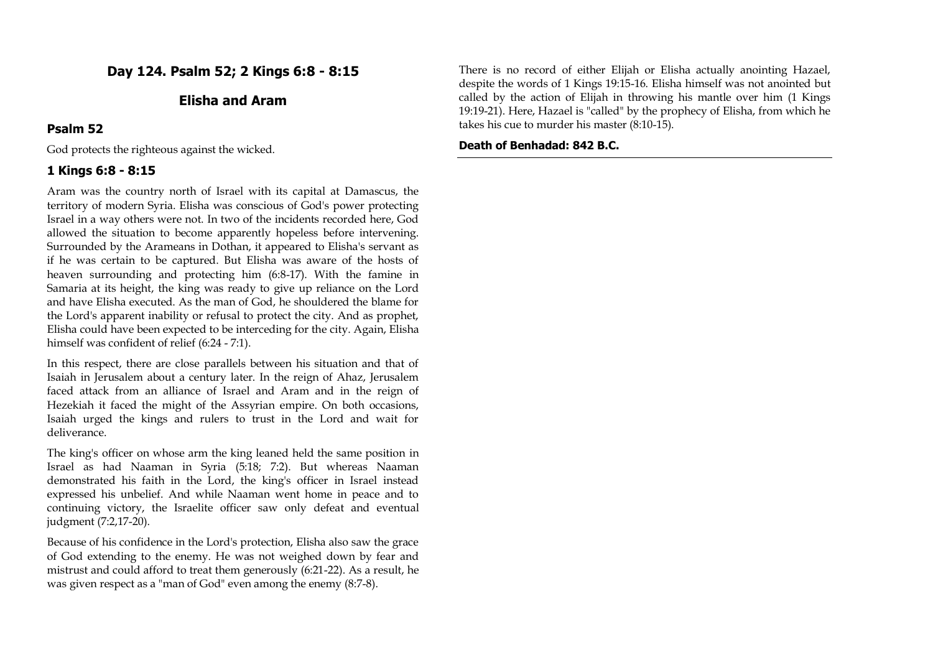## **Day 124. Psalm 52; 2 Kings 6:8 - 8:15**

## **Elisha and Aram**

#### **Psalm 52**

God protects the righteous against the wicked.

## **1 Kings 6:8 - 8:15**

Aram was the country north of Israel with its capital at Damascus, the territory of modern Syria. Elisha was conscious of God's power protecting Israel in a way others were not. In two of the incidents recorded here, God allowed the situation to become apparently hopeless before intervening. Surrounded by the Arameans in Dothan, it appeared to Elisha's servant as if he was certain to be captured. But Elisha was aware of the hosts of heaven surrounding and protecting him (6:8-17). With the famine in Samaria at its height, the king was ready to give up reliance on the Lord and have Elisha executed. As the man of God, he shouldered the blame for the Lord's apparent inability or refusal to protect the city. And as prophet, Elisha could have been expected to be interceding for the city. Again, Elisha himself was confident of relief (6:24 - 7:1).

In this respect, there are close parallels between his situation and that of Isaiah in Jerusalem about a century later. In the reign of Ahaz, Jerusalem faced attack from an alliance of Israel and Aram and in the reign of Hezekiah it faced the might of the Assyrian empire. On both occasions, Isaiah urged the kings and rulers to trust in the Lord and wait for deliverance.

The king's officer on whose arm the king leaned held the same position in Israel as had Naaman in Syria (5:18; 7:2). But whereas Naaman demonstrated his faith in the Lord, the king's officer in Israel instead expressed his unbelief. And while Naaman went home in peace and to continuing victory, the Israelite officer saw only defeat and eventual judgment (7:2,17-20).

Because of his confidence in the Lord's protection, Elisha also saw the grace of God extending to the enemy. He was not weighed down by fear and mistrust and could afford to treat them generously (6:21-22). As a result, he was given respect as a "man of God" even among the enemy (8:7-8).

There is no record of either Elijah or Elisha actually anointing Hazael, despite the words of 1 Kings 19:15-16. Elisha himself was not anointed but called by the action of Elijah in throwing his mantle over him (1 Kings 19:19-21). Here, Hazael is "called" by the prophecy of Elisha, from which he takes his cue to murder his master (8:10-15).

#### **Death of Benhadad: 842 B.C.**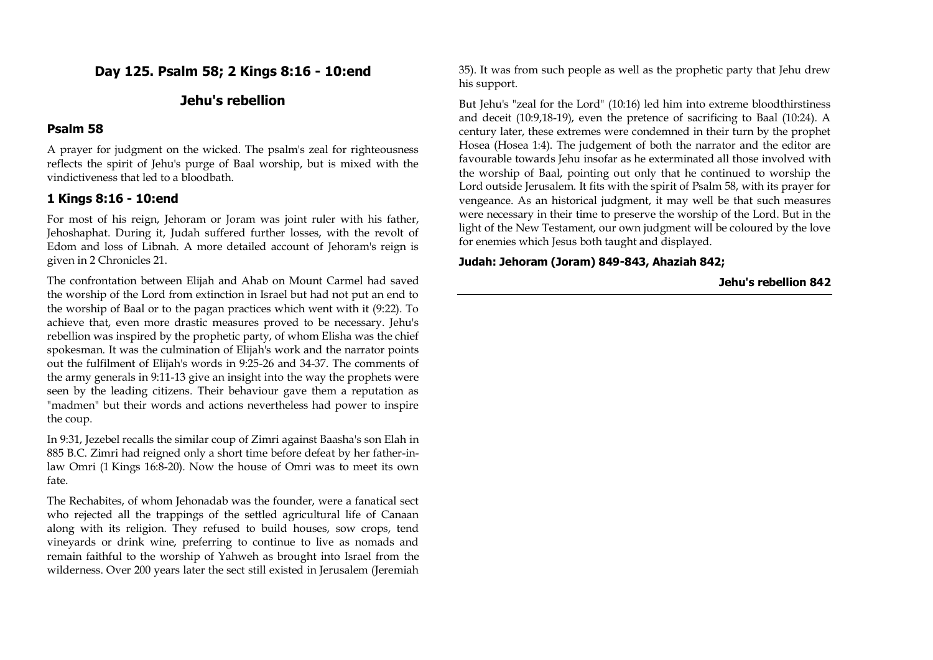## **Day 125. Psalm 58; 2 Kings 8:16 - 10:end**

## **Jehu's rebellion**

#### **Psalm 58**

A prayer for judgment on the wicked. The psalm's zeal for righteousness reflects the spirit of Jehu's purge of Baal worship, but is mixed with the vindictiveness that led to a bloodbath.

#### **1 Kings 8:16 - 10:end**

For most of his reign, Jehoram or Joram was joint ruler with his father, Jehoshaphat. During it, Judah suffered further losses, with the revolt of Edom and loss of Libnah. A more detailed account of Jehoram's reign is given in 2 Chronicles 21.

The confrontation between Elijah and Ahab on Mount Carmel had saved the worship of the Lord from extinction in Israel but had not put an end to the worship of Baal or to the pagan practices which went with it (9:22). To achieve that, even more drastic measures proved to be necessary. Jehu's rebellion was inspired by the prophetic party, of whom Elisha was the chief spokesman. It was the culmination of Elijah's work and the narrator points out the fulfilment of Elijah's words in 9:25-26 and 34-37. The comments of the army generals in 9:11-13 give an insight into the way the prophets were seen by the leading citizens. Their behaviour gave them a reputation as "madmen" but their words and actions nevertheless had power to inspire the coup.

In 9:31, Jezebel recalls the similar coup of Zimri against Baasha's son Elah in 885 B.C. Zimri had reigned only a short time before defeat by her father-inlaw Omri (1 Kings 16:8-20). Now the house of Omri was to meet its own fate.

The Rechabites, of whom Jehonadab was the founder, were a fanatical sect who rejected all the trappings of the settled agricultural life of Canaan along with its religion. They refused to build houses, sow crops, tend vineyards or drink wine, preferring to continue to live as nomads and remain faithful to the worship of Yahweh as brought into Israel from the wilderness. Over 200 years later the sect still existed in Jerusalem (Jeremiah

35). It was from such people as well as the prophetic party that Jehu drew his support.

But Jehu's "zeal for the Lord" (10:16) led him into extreme bloodthirstiness and deceit (10:9,18-19), even the pretence of sacrificing to Baal (10:24). A century later, these extremes were condemned in their turn by the prophet Hosea (Hosea 1:4). The judgement of both the narrator and the editor are favourable towards Jehu insofar as he exterminated all those involved with the worship of Baal, pointing out only that he continued to worship the Lord outside Jerusalem. It fits with the spirit of Psalm 58, with its prayer for vengeance. As an historical judgment, it may well be that such measures were necessary in their time to preserve the worship of the Lord. But in the light of the New Testament, our own judgment will be coloured by the love for enemies which Jesus both taught and displayed.

#### **Judah: Jehoram (Joram) 849-843, Ahaziah 842;**

**Jehu's rebellion 842**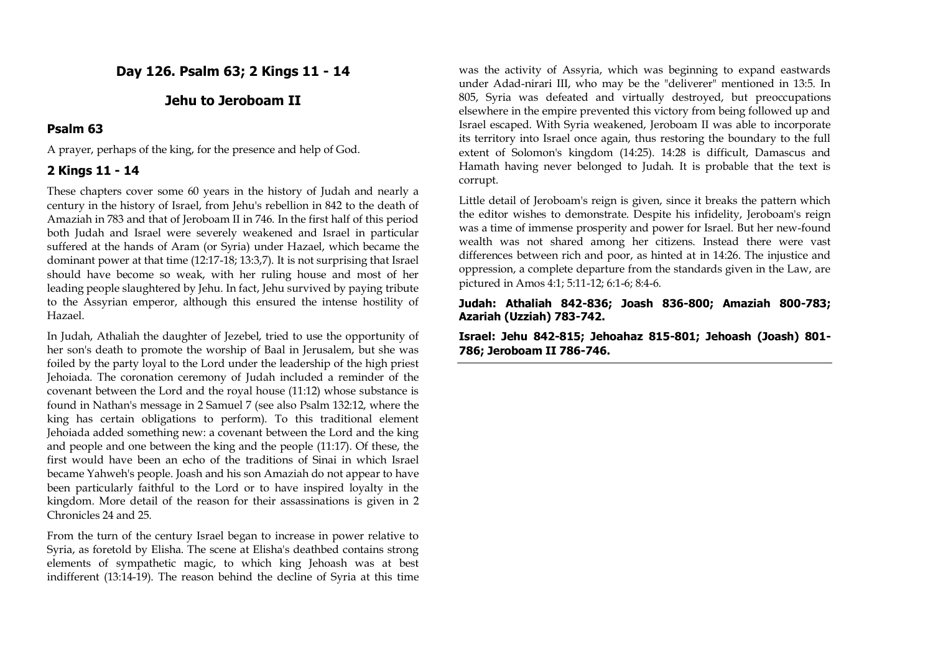**Day 126. Psalm 63; 2 Kings 11 - 14**

## **Jehu to Jeroboam II**

#### **Psalm 63**

A prayer, perhaps of the king, for the presence and help of God.

## **2 Kings 11 - 14**

These chapters cover some 60 years in the history of Judah and nearly a century in the history of Israel, from Jehu's rebellion in 842 to the death of Amaziah in 783 and that of Jeroboam II in 746. In the first half of this period both Judah and Israel were severely weakened and Israel in particular suffered at the hands of Aram (or Syria) under Hazael, which became the dominant power at that time (12:17-18; 13:3,7). It is not surprising that Israel should have become so weak, with her ruling house and most of her leading people slaughtered by Jehu. In fact, Jehu survived by paying tribute to the Assyrian emperor, although this ensured the intense hostility of Hazael.

In Judah, Athaliah the daughter of Jezebel, tried to use the opportunity of her son's death to promote the worship of Baal in Jerusalem, but she was foiled by the party loyal to the Lord under the leadership of the high priest Jehoiada. The coronation ceremony of Judah included a reminder of the covenant between the Lord and the royal house (11:12) whose substance is found in Nathan's message in 2 Samuel 7 (see also Psalm 132:12, where the king has certain obligations to perform). To this traditional element Jehoiada added something new: a covenant between the Lord and the king and people and one between the king and the people (11:17). Of these, the first would have been an echo of the traditions of Sinai in which Israel became Yahweh's people. Joash and his son Amaziah do not appear to have been particularly faithful to the Lord or to have inspired loyalty in the kingdom. More detail of the reason for their assassinations is given in 2 Chronicles 24 and 25.

From the turn of the century Israel began to increase in power relative to Syria, as foretold by Elisha. The scene at Elisha's deathbed contains strong elements of sympathetic magic, to which king Jehoash was at best indifferent (13:14-19). The reason behind the decline of Syria at this time

was the activity of Assyria, which was beginning to expand eastwards under Adad-nirari III, who may be the "deliverer" mentioned in 13:5. In 805, Syria was defeated and virtually destroyed, but preoccupations elsewhere in the empire prevented this victory from being followed up and Israel escaped. With Syria weakened, Jeroboam II was able to incorporate its territory into Israel once again, thus restoring the boundary to the full extent of Solomon's kingdom (14:25). 14:28 is difficult, Damascus and Hamath having never belonged to Judah. It is probable that the text is corrupt.

Little detail of Jeroboam's reign is given, since it breaks the pattern which the editor wishes to demonstrate. Despite his infidelity, Jeroboam's reign was a time of immense prosperity and power for Israel. But her new-found wealth was not shared among her citizens. Instead there were vast differences between rich and poor, as hinted at in 14:26. The injustice and oppression, a complete departure from the standards given in the Law, are pictured in Amos 4:1; 5:11-12; 6:1-6; 8:4-6.

**Judah: Athaliah 842-836; Joash 836-800; Amaziah 800-783; Azariah (Uzziah) 783-742.**

**Israel: Jehu 842-815; Jehoahaz 815-801; Jehoash (Joash) 801- 786; Jeroboam II 786-746.**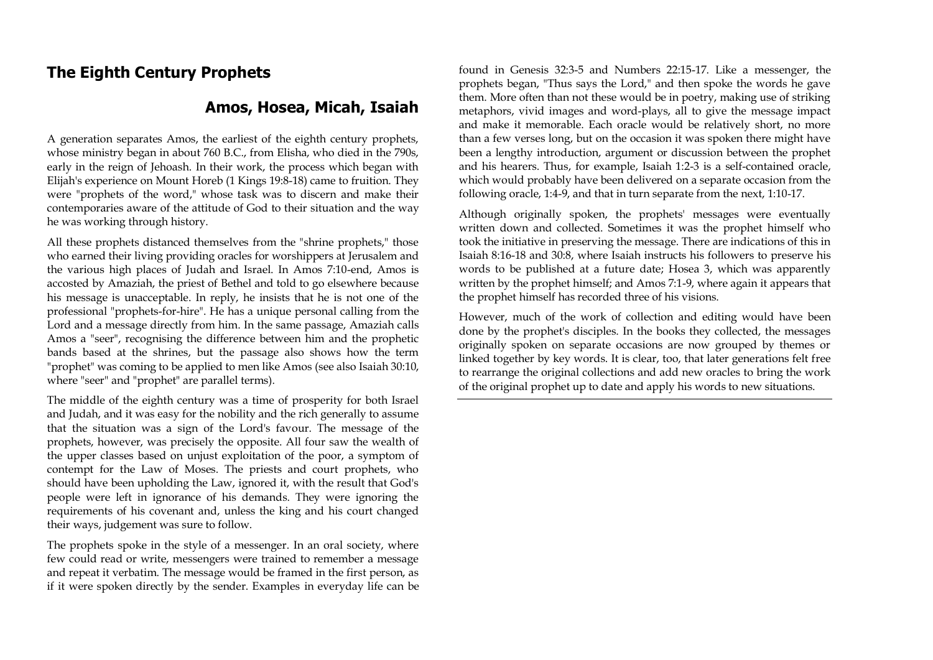## **The Eighth Century Prophets**

## **Amos, Hosea, Micah, Isaiah**

A generation separates Amos, the earliest of the eighth century prophets, whose ministry began in about 760 B.C., from Elisha, who died in the 790s, early in the reign of Jehoash. In their work, the process which began with Elijah's experience on Mount Horeb (1 Kings 19:8-18) came to fruition. They were "prophets of the word," whose task was to discern and make their contemporaries aware of the attitude of God to their situation and the way he was working through history.

All these prophets distanced themselves from the "shrine prophets," those who earned their living providing oracles for worshippers at Jerusalem and the various high places of Judah and Israel. In Amos 7:10-end, Amos is accosted by Amaziah, the priest of Bethel and told to go elsewhere because his message is unacceptable. In reply, he insists that he is not one of the professional "prophets-for-hire". He has a unique personal calling from the Lord and a message directly from him. In the same passage, Amaziah calls Amos a "seer", recognising the difference between him and the prophetic bands based at the shrines, but the passage also shows how the term "prophet" was coming to be applied to men like Amos (see also Isaiah 30:10, where "seer" and "prophet" are parallel terms).

The middle of the eighth century was a time of prosperity for both Israel and Judah, and it was easy for the nobility and the rich generally to assume that the situation was a sign of the Lord's favour. The message of the prophets, however, was precisely the opposite. All four saw the wealth of the upper classes based on unjust exploitation of the poor, a symptom of contempt for the Law of Moses. The priests and court prophets, who should have been upholding the Law, ignored it, with the result that God's people were left in ignorance of his demands. They were ignoring the requirements of his covenant and, unless the king and his court changed their ways, judgement was sure to follow.

The prophets spoke in the style of a messenger. In an oral society, where few could read or write, messengers were trained to remember a message and repeat it verbatim. The message would be framed in the first person, as if it were spoken directly by the sender. Examples in everyday life can be

found in Genesis 32:3-5 and Numbers 22:15-17. Like a messenger, the prophets began, "Thus says the Lord," and then spoke the words he gave them. More often than not these would be in poetry, making use of striking metaphors, vivid images and word-plays, all to give the message impact and make it memorable. Each oracle would be relatively short, no more than a few verses long, but on the occasion it was spoken there might have been a lengthy introduction, argument or discussion between the prophet and his hearers. Thus, for example, Isaiah 1:2-3 is a self-contained oracle, which would probably have been delivered on a separate occasion from the following oracle, 1:4-9, and that in turn separate from the next, 1:10-17.

Although originally spoken, the prophets' messages were eventually written down and collected. Sometimes it was the prophet himself who took the initiative in preserving the message. There are indications of this in Isaiah 8:16-18 and 30:8, where Isaiah instructs his followers to preserve his words to be published at a future date; Hosea 3, which was apparently written by the prophet himself; and Amos 7:1-9, where again it appears that the prophet himself has recorded three of his visions.

However, much of the work of collection and editing would have been done by the prophet's disciples. In the books they collected, the messages originally spoken on separate occasions are now grouped by themes or linked together by key words. It is clear, too, that later generations felt free to rearrange the original collections and add new oracles to bring the work of the original prophet up to date and apply his words to new situations.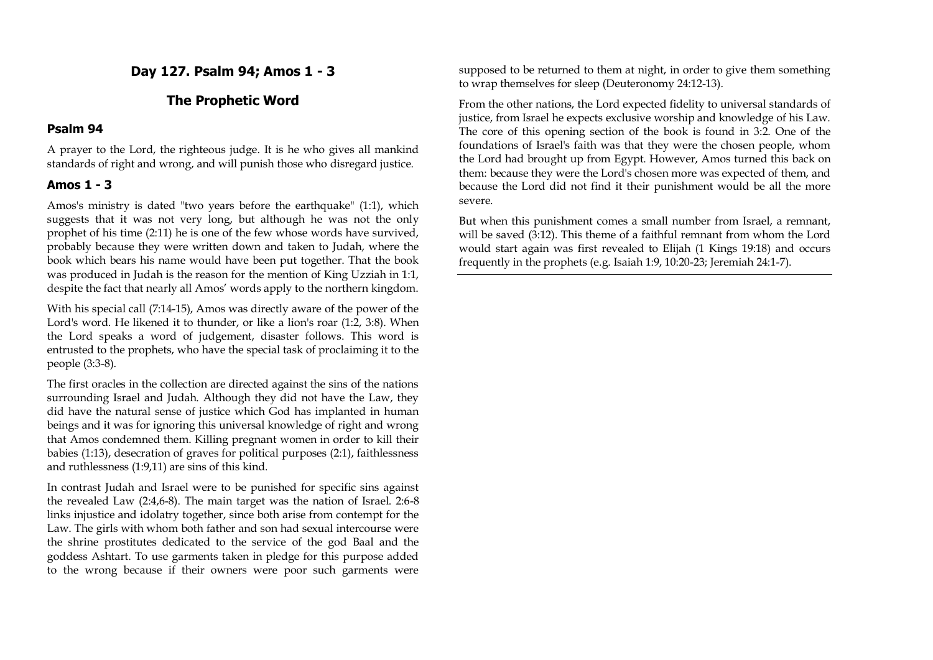**Day 127. Psalm 94; Amos 1 - 3**

## **The Prophetic Word**

#### **Psalm 94**

A prayer to the Lord, the righteous judge. It is he who gives all mankind standards of right and wrong, and will punish those who disregard justice.

## **Amos 1 - 3**

Amos's ministry is dated "two years before the earthquake" (1:1), which suggests that it was not very long, but although he was not the only prophet of his time (2:11) he is one of the few whose words have survived, probably because they were written down and taken to Judah, where the book which bears his name would have been put together. That the book was produced in Judah is the reason for the mention of King Uzziah in 1:1, despite the fact that nearly all Amos' words apply to the northern kingdom.

With his special call (7:14-15), Amos was directly aware of the power of the Lord's word. He likened it to thunder, or like a lion's roar (1:2, 3:8). When the Lord speaks a word of judgement, disaster follows. This word is entrusted to the prophets, who have the special task of proclaiming it to the people (3:3-8).

The first oracles in the collection are directed against the sins of the nations surrounding Israel and Judah. Although they did not have the Law, they did have the natural sense of justice which God has implanted in human beings and it was for ignoring this universal knowledge of right and wrong that Amos condemned them. Killing pregnant women in order to kill their babies (1:13), desecration of graves for political purposes (2:1), faithlessness and ruthlessness (1:9,11) are sins of this kind.

In contrast Judah and Israel were to be punished for specific sins against the revealed Law (2:4,6-8). The main target was the nation of Israel. 2:6-8 links injustice and idolatry together, since both arise from contempt for the Law. The girls with whom both father and son had sexual intercourse were the shrine prostitutes dedicated to the service of the god Baal and the goddess Ashtart. To use garments taken in pledge for this purpose added to the wrong because if their owners were poor such garments were supposed to be returned to them at night, in order to give them something to wrap themselves for sleep (Deuteronomy 24:12-13).

From the other nations, the Lord expected fidelity to universal standards of justice, from Israel he expects exclusive worship and knowledge of his Law. The core of this opening section of the book is found in 3:2. One of the foundations of Israel's faith was that they were the chosen people, whom the Lord had brought up from Egypt. However, Amos turned this back on them: because they were the Lord's chosen more was expected of them, and because the Lord did not find it their punishment would be all the more severe.

But when this punishment comes a small number from Israel, a remnant, will be saved (3:12). This theme of a faithful remnant from whom the Lord would start again was first revealed to Elijah (1 Kings 19:18) and occurs frequently in the prophets (e.g. Isaiah 1:9, 10:20-23; Jeremiah 24:1-7).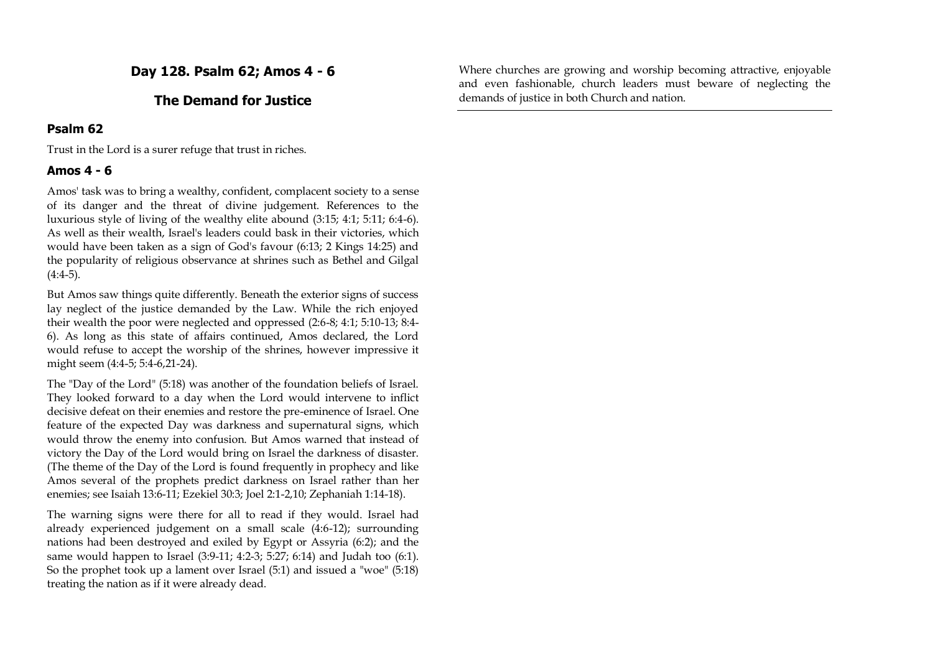**Day 128. Psalm 62; Amos 4 - 6**

#### **The Demand for Justice**

#### **Psalm 62**

Trust in the Lord is a surer refuge that trust in riches.

#### **Amos 4 - 6**

Amos' task was to bring a wealthy, confident, complacent society to a sense of its danger and the threat of divine judgement. References to the luxurious style of living of the wealthy elite abound (3:15; 4:1; 5:11; 6:4-6). As well as their wealth, Israel's leaders could bask in their victories, which would have been taken as a sign of God's favour (6:13; 2 Kings 14:25) and the popularity of religious observance at shrines such as Bethel and Gilgal  $(4:4-5)$ .

But Amos saw things quite differently. Beneath the exterior signs of success lay neglect of the justice demanded by the Law. While the rich enjoyed their wealth the poor were neglected and oppressed (2:6-8; 4:1; 5:10-13; 8:4- 6). As long as this state of affairs continued, Amos declared, the Lord would refuse to accept the worship of the shrines, however impressive it might seem (4:4-5; 5:4-6,21-24).

The "Day of the Lord" (5:18) was another of the foundation beliefs of Israel. They looked forward to a day when the Lord would intervene to inflict decisive defeat on their enemies and restore the pre-eminence of Israel. One feature of the expected Day was darkness and supernatural signs, which would throw the enemy into confusion. But Amos warned that instead of victory the Day of the Lord would bring on Israel the darkness of disaster. (The theme of the Day of the Lord is found frequently in prophecy and like Amos several of the prophets predict darkness on Israel rather than her enemies; see Isaiah 13:6-11; Ezekiel 30:3; Joel 2:1-2,10; Zephaniah 1:14-18).

The warning signs were there for all to read if they would. Israel had already experienced judgement on a small scale (4:6-12); surrounding nations had been destroyed and exiled by Egypt or Assyria (6:2); and the same would happen to Israel (3:9-11; 4:2-3; 5:27; 6:14) and Judah too (6:1). So the prophet took up a lament over Israel (5:1) and issued a "woe" (5:18) treating the nation as if it were already dead.

Where churches are growing and worship becoming attractive, enjoyable and even fashionable, church leaders must beware of neglecting the demands of justice in both Church and nation.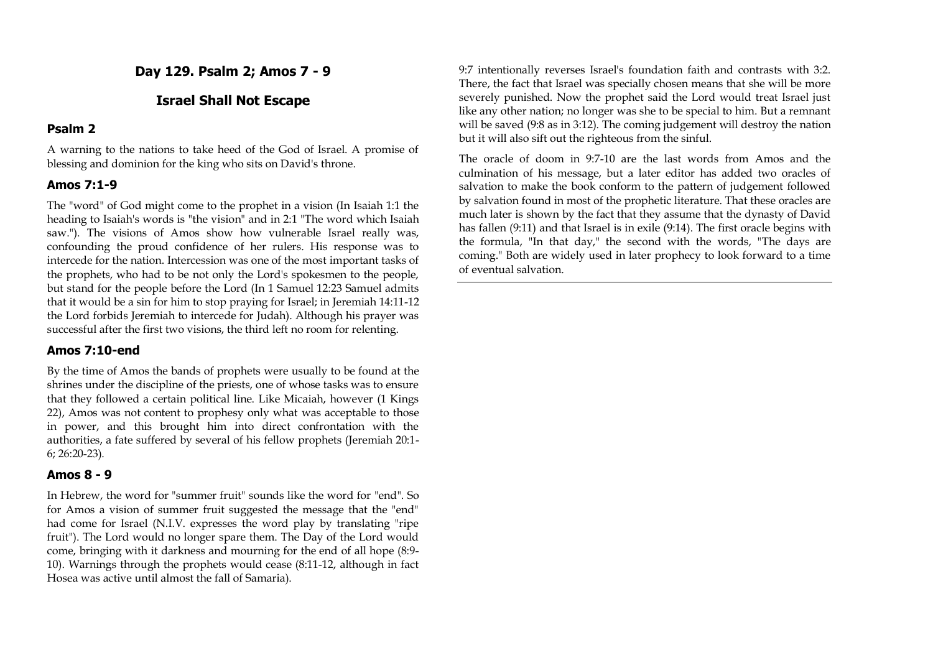**Day 129. Psalm 2; Amos 7 - 9**

## **Israel Shall Not Escape**

#### **Psalm 2**

A warning to the nations to take heed of the God of Israel. A promise of blessing and dominion for the king who sits on David's throne.

## **Amos 7:1-9**

The "word" of God might come to the prophet in a vision (In Isaiah 1:1 the heading to Isaiah's words is "the vision" and in 2:1 "The word which Isaiah saw."). The visions of Amos show how vulnerable Israel really was, confounding the proud confidence of her rulers. His response was to intercede for the nation. Intercession was one of the most important tasks of the prophets, who had to be not only the Lord's spokesmen to the people, but stand for the people before the Lord (In 1 Samuel 12:23 Samuel admits that it would be a sin for him to stop praying for Israel; in Jeremiah 14:11-12 the Lord forbids Jeremiah to intercede for Judah). Although his prayer was successful after the first two visions, the third left no room for relenting.

#### **Amos 7:10-end**

By the time of Amos the bands of prophets were usually to be found at the shrines under the discipline of the priests, one of whose tasks was to ensure that they followed a certain political line. Like Micaiah, however (1 Kings 22), Amos was not content to prophesy only what was acceptable to those in power, and this brought him into direct confrontation with the authorities, a fate suffered by several of his fellow prophets (Jeremiah 20:1- 6; 26:20-23).

#### **Amos 8 - 9**

In Hebrew, the word for "summer fruit" sounds like the word for "end". So for Amos a vision of summer fruit suggested the message that the "end" had come for Israel (N.I.V. expresses the word play by translating "ripe fruit"). The Lord would no longer spare them. The Day of the Lord would come, bringing with it darkness and mourning for the end of all hope (8:9- 10). Warnings through the prophets would cease (8:11-12, although in fact Hosea was active until almost the fall of Samaria).

9:7 intentionally reverses Israel's foundation faith and contrasts with 3:2. There, the fact that Israel was specially chosen means that she will be more severely punished. Now the prophet said the Lord would treat Israel just like any other nation; no longer was she to be special to him. But a remnant will be saved (9:8 as in 3:12). The coming judgement will destroy the nation but it will also sift out the righteous from the sinful.

The oracle of doom in 9:7-10 are the last words from Amos and the culmination of his message, but a later editor has added two oracles of salvation to make the book conform to the pattern of judgement followed by salvation found in most of the prophetic literature. That these oracles are much later is shown by the fact that they assume that the dynasty of David has fallen (9:11) and that Israel is in exile (9:14). The first oracle begins with the formula, "In that day," the second with the words, "The days are coming." Both are widely used in later prophecy to look forward to a time of eventual salvation.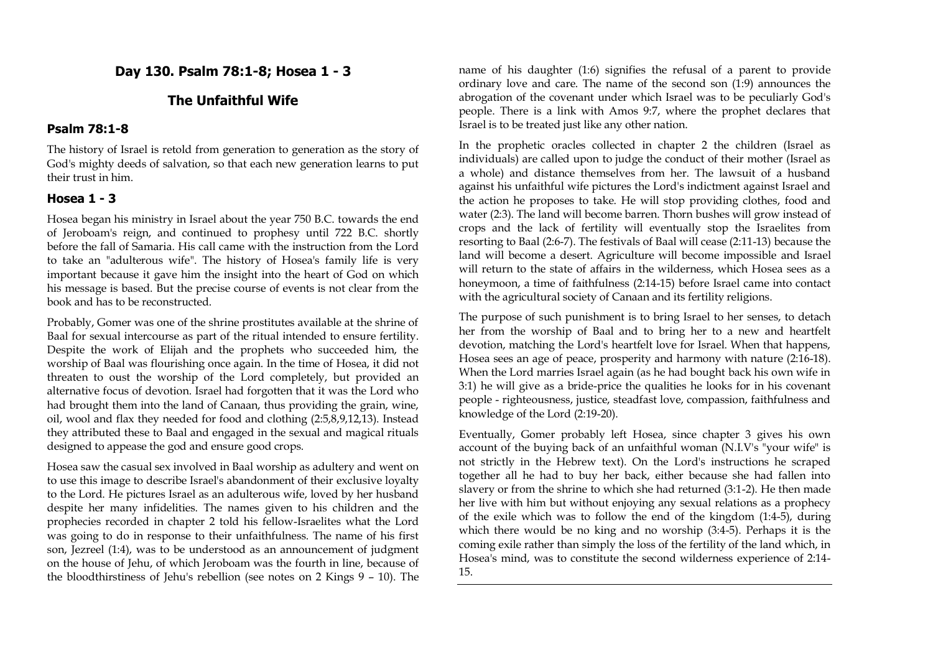## **Day 130. Psalm 78:1-8; Hosea 1 - 3**

## **The Unfaithful Wife**

#### **Psalm 78:1-8**

The history of Israel is retold from generation to generation as the story of God's mighty deeds of salvation, so that each new generation learns to put their trust in him.

#### **Hosea 1 - 3**

Hosea began his ministry in Israel about the year 750 B.C. towards the end of Jeroboam's reign, and continued to prophesy until 722 B.C. shortly before the fall of Samaria. His call came with the instruction from the Lord to take an "adulterous wife". The history of Hosea's family life is very important because it gave him the insight into the heart of God on which his message is based. But the precise course of events is not clear from the book and has to be reconstructed.

Probably, Gomer was one of the shrine prostitutes available at the shrine of Baal for sexual intercourse as part of the ritual intended to ensure fertility. Despite the work of Elijah and the prophets who succeeded him, the worship of Baal was flourishing once again. In the time of Hosea, it did not threaten to oust the worship of the Lord completely, but provided an alternative focus of devotion. Israel had forgotten that it was the Lord who had brought them into the land of Canaan, thus providing the grain, wine, oil, wool and flax they needed for food and clothing (2:5,8,9,12,13). Instead they attributed these to Baal and engaged in the sexual and magical rituals designed to appease the god and ensure good crops.

Hosea saw the casual sex involved in Baal worship as adultery and went on to use this image to describe Israel's abandonment of their exclusive loyalty to the Lord. He pictures Israel as an adulterous wife, loved by her husband despite her many infidelities. The names given to his children and the prophecies recorded in chapter 2 told his fellow-Israelites what the Lord was going to do in response to their unfaithfulness. The name of his first son, Jezreel (1:4), was to be understood as an announcement of judgment on the house of Jehu, of which Jeroboam was the fourth in line, because of the bloodthirstiness of Jehu's rebellion (see notes on 2 Kings 9 – 10). The

name of his daughter (1:6) signifies the refusal of a parent to provide ordinary love and care. The name of the second son (1:9) announces the abrogation of the covenant under which Israel was to be peculiarly God's people. There is a link with Amos 9:7, where the prophet declares that Israel is to be treated just like any other nation.

In the prophetic oracles collected in chapter 2 the children (Israel as individuals) are called upon to judge the conduct of their mother (Israel as a whole) and distance themselves from her. The lawsuit of a husband against his unfaithful wife pictures the Lord's indictment against Israel and the action he proposes to take. He will stop providing clothes, food and water (2:3). The land will become barren. Thorn bushes will grow instead of crops and the lack of fertility will eventually stop the Israelites from resorting to Baal (2:6-7). The festivals of Baal will cease (2:11-13) because the land will become a desert. Agriculture will become impossible and Israel will return to the state of affairs in the wilderness, which Hosea sees as a honeymoon, a time of faithfulness (2:14-15) before Israel came into contact with the agricultural society of Canaan and its fertility religions.

The purpose of such punishment is to bring Israel to her senses, to detach her from the worship of Baal and to bring her to a new and heartfelt devotion, matching the Lord's heartfelt love for Israel. When that happens, Hosea sees an age of peace, prosperity and harmony with nature (2:16-18). When the Lord marries Israel again (as he had bought back his own wife in 3:1) he will give as a bride-price the qualities he looks for in his covenant people - righteousness, justice, steadfast love, compassion, faithfulness and knowledge of the Lord (2:19-20).

Eventually, Gomer probably left Hosea, since chapter 3 gives his own account of the buying back of an unfaithful woman (N.I.V's "your wife" is not strictly in the Hebrew text). On the Lord's instructions he scraped together all he had to buy her back, either because she had fallen into slavery or from the shrine to which she had returned (3:1-2). He then made her live with him but without enjoying any sexual relations as a prophecy of the exile which was to follow the end of the kingdom (1:4-5), during which there would be no king and no worship (3:4-5). Perhaps it is the coming exile rather than simply the loss of the fertility of the land which, in Hosea's mind, was to constitute the second wilderness experience of 2:14- 15.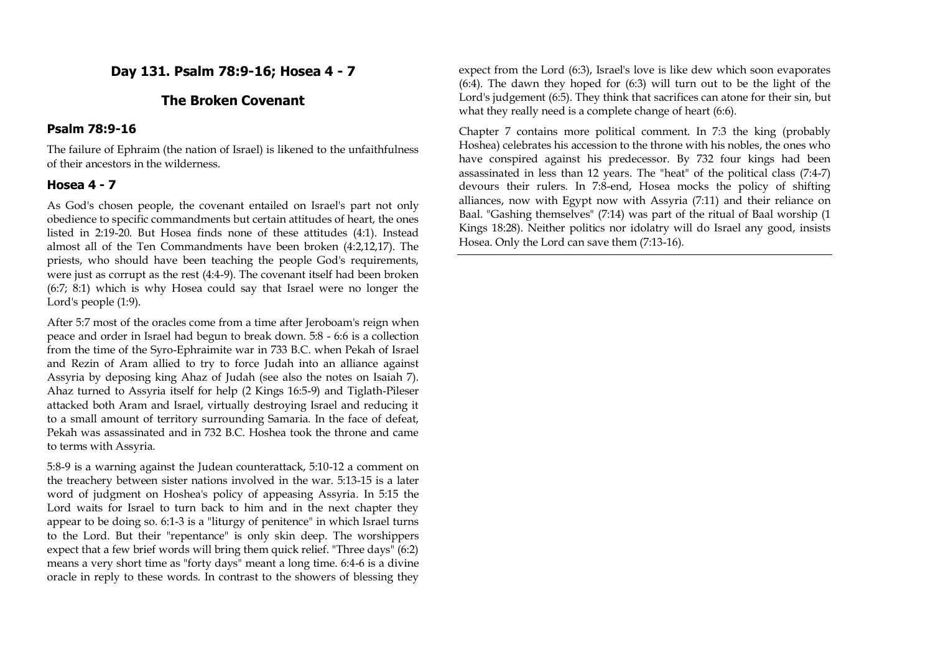## **Day 131. Psalm 78:9-16; Hosea 4 - 7**

## **The Broken Covenant**

#### **Psalm 78:9-16**

The failure of Ephraim (the nation of Israel) is likened to the unfaithfulness of their ancestors in the wilderness.

#### **Hosea 4 - 7**

As God's chosen people, the covenant entailed on Israel's part not only obedience to specific commandments but certain attitudes of heart, the ones listed in 2:19-20. But Hosea finds none of these attitudes (4:1). Instead almost all of the Ten Commandments have been broken (4:2,12,17). The priests, who should have been teaching the people God's requirements, were just as corrupt as the rest (4:4-9). The covenant itself had been broken (6:7; 8:1) which is why Hosea could say that Israel were no longer the Lord's people (1:9).

After 5:7 most of the oracles come from a time after Jeroboam's reign when peace and order in Israel had begun to break down. 5:8 - 6:6 is a collection from the time of the Syro-Ephraimite war in 733 B.C. when Pekah of Israel and Rezin of Aram allied to try to force Judah into an alliance against Assyria by deposing king Ahaz of Judah (see also the notes on Isaiah 7). Ahaz turned to Assyria itself for help (2 Kings 16:5-9) and Tiglath-Pileser attacked both Aram and Israel, virtually destroying Israel and reducing it to a small amount of territory surrounding Samaria. In the face of defeat, Pekah was assassinated and in 732 B.C. Hoshea took the throne and came to terms with Assyria.

5:8-9 is a warning against the Judean counterattack, 5:10-12 a comment on the treachery between sister nations involved in the war. 5:13-15 is a later word of judgment on Hoshea's policy of appeasing Assyria. In 5:15 the Lord waits for Israel to turn back to him and in the next chapter they appear to be doing so. 6:1-3 is a "liturgy of penitence" in which Israel turns to the Lord. But their "repentance" is only skin deep. The worshippers expect that a few brief words will bring them quick relief. "Three days" (6:2) means a very short time as "forty days" meant a long time. 6:4-6 is a divine oracle in reply to these words. In contrast to the showers of blessing they

expect from the Lord (6:3), Israel's love is like dew which soon evaporates (6:4). The dawn they hoped for (6:3) will turn out to be the light of the Lord's judgement (6:5). They think that sacrifices can atone for their sin, but what they really need is a complete change of heart (6:6).

Chapter 7 contains more political comment. In 7:3 the king (probably Hoshea) celebrates his accession to the throne with his nobles, the ones who have conspired against his predecessor. By 732 four kings had been assassinated in less than 12 years. The "heat" of the political class (7:4-7) devours their rulers. In 7:8-end, Hosea mocks the policy of shifting alliances, now with Egypt now with Assyria (7:11) and their reliance on Baal. "Gashing themselves" (7:14) was part of the ritual of Baal worship (1 Kings 18:28). Neither politics nor idolatry will do Israel any good, insists Hosea. Only the Lord can save them (7:13-16).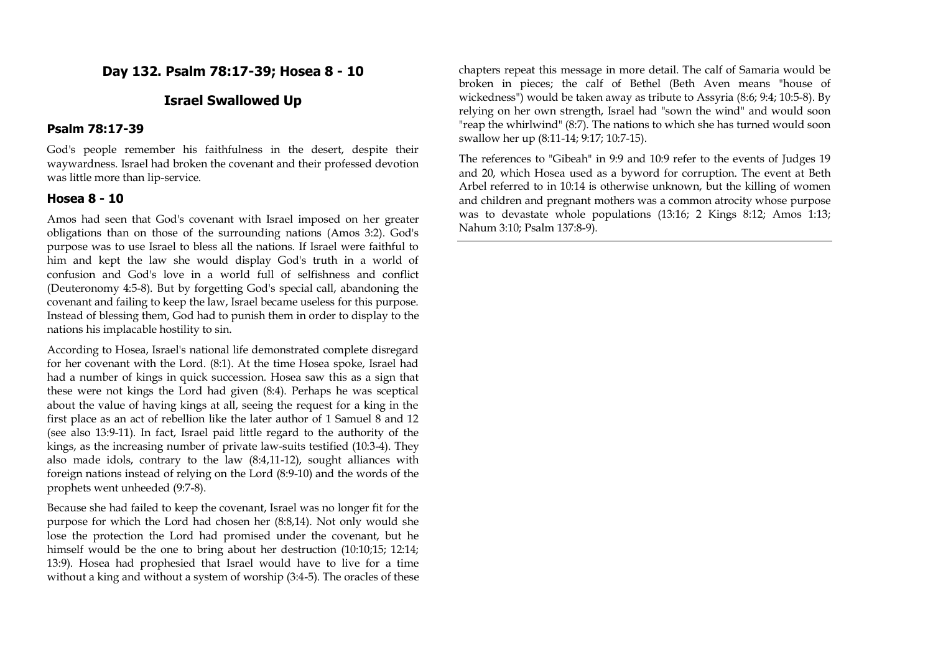## **Day 132. Psalm 78:17-39; Hosea 8 - 10**

## **Israel Swallowed Up**

#### **Psalm 78:17-39**

God's people remember his faithfulness in the desert, despite their waywardness. Israel had broken the covenant and their professed devotion was little more than lip-service.

#### **Hosea 8 - 10**

Amos had seen that God's covenant with Israel imposed on her greater obligations than on those of the surrounding nations (Amos 3:2). God's purpose was to use Israel to bless all the nations. If Israel were faithful to him and kept the law she would display God's truth in a world of confusion and God's love in a world full of selfishness and conflict (Deuteronomy 4:5-8). But by forgetting God's special call, abandoning the covenant and failing to keep the law, Israel became useless for this purpose. Instead of blessing them, God had to punish them in order to display to the nations his implacable hostility to sin.

According to Hosea, Israel's national life demonstrated complete disregard for her covenant with the Lord. (8:1). At the time Hosea spoke, Israel had had a number of kings in quick succession. Hosea saw this as a sign that these were not kings the Lord had given (8:4). Perhaps he was sceptical about the value of having kings at all, seeing the request for a king in the first place as an act of rebellion like the later author of 1 Samuel 8 and 12 (see also 13:9-11). In fact, Israel paid little regard to the authority of the kings, as the increasing number of private law-suits testified (10:3-4). They also made idols, contrary to the law (8:4,11-12), sought alliances with foreign nations instead of relying on the Lord (8:9-10) and the words of the prophets went unheeded (9:7-8).

Because she had failed to keep the covenant, Israel was no longer fit for the purpose for which the Lord had chosen her (8:8,14). Not only would she lose the protection the Lord had promised under the covenant, but he himself would be the one to bring about her destruction (10:10;15; 12:14; 13:9). Hosea had prophesied that Israel would have to live for a time without a king and without a system of worship (3:4-5). The oracles of these

chapters repeat this message in more detail. The calf of Samaria would be broken in pieces; the calf of Bethel (Beth Aven means "house of wickedness") would be taken away as tribute to Assyria (8:6; 9:4; 10:5-8). By relying on her own strength, Israel had "sown the wind" and would soon "reap the whirlwind" (8:7). The nations to which she has turned would soon swallow her up (8:11-14; 9:17; 10:7-15).

The references to "Gibeah" in 9:9 and 10:9 refer to the events of Judges 19 and 20, which Hosea used as a byword for corruption. The event at Beth Arbel referred to in 10:14 is otherwise unknown, but the killing of women and children and pregnant mothers was a common atrocity whose purpose was to devastate whole populations (13:16; 2 Kings 8:12; Amos 1:13; Nahum 3:10; Psalm 137:8-9).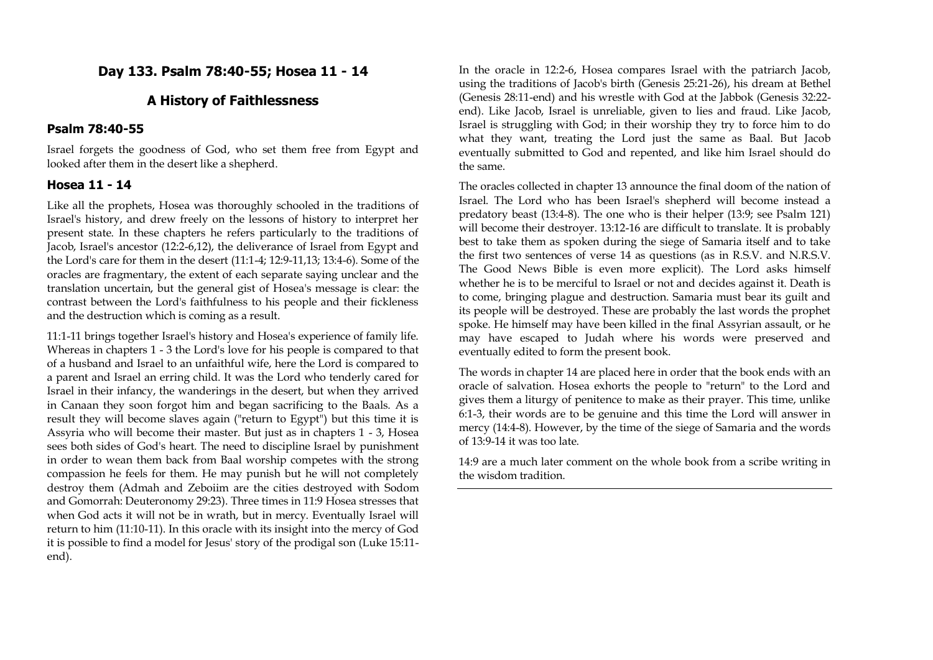## **Day 133. Psalm 78:40-55; Hosea 11 - 14**

## **A History of Faithlessness**

#### **Psalm 78:40-55**

Israel forgets the goodness of God, who set them free from Egypt and looked after them in the desert like a shepherd.

## **Hosea 11 - 14**

Like all the prophets, Hosea was thoroughly schooled in the traditions of Israel's history, and drew freely on the lessons of history to interpret her present state. In these chapters he refers particularly to the traditions of Jacob, Israel's ancestor (12:2-6,12), the deliverance of Israel from Egypt and the Lord's care for them in the desert (11:1-4; 12:9-11,13; 13:4-6). Some of the oracles are fragmentary, the extent of each separate saying unclear and the translation uncertain, but the general gist of Hosea's message is clear: the contrast between the Lord's faithfulness to his people and their fickleness and the destruction which is coming as a result.

11:1-11 brings together Israel's history and Hosea's experience of family life. Whereas in chapters 1 - 3 the Lord's love for his people is compared to that of a husband and Israel to an unfaithful wife, here the Lord is compared to a parent and Israel an erring child. It was the Lord who tenderly cared for Israel in their infancy, the wanderings in the desert, but when they arrived in Canaan they soon forgot him and began sacrificing to the Baals. As a result they will become slaves again ("return to Egypt") but this time it is Assyria who will become their master. But just as in chapters 1 - 3, Hosea sees both sides of God's heart. The need to discipline Israel by punishment in order to wean them back from Baal worship competes with the strong compassion he feels for them. He may punish but he will not completely destroy them (Admah and Zeboiim are the cities destroyed with Sodom and Gomorrah: Deuteronomy 29:23). Three times in 11:9 Hosea stresses that when God acts it will not be in wrath, but in mercy. Eventually Israel will return to him (11:10-11). In this oracle with its insight into the mercy of God it is possible to find a model for Jesus' story of the prodigal son (Luke 15:11 end).

In the oracle in 12:2-6, Hosea compares Israel with the patriarch Jacob, using the traditions of Jacob's birth (Genesis 25:21-26), his dream at Bethel (Genesis 28:11-end) and his wrestle with God at the Jabbok (Genesis 32:22 end). Like Jacob, Israel is unreliable, given to lies and fraud. Like Jacob, Israel is struggling with God; in their worship they try to force him to do what they want, treating the Lord just the same as Baal. But Jacob eventually submitted to God and repented, and like him Israel should do the same.

The oracles collected in chapter 13 announce the final doom of the nation of Israel. The Lord who has been Israel's shepherd will become instead a predatory beast (13:4-8). The one who is their helper (13:9; see Psalm 121) will become their destroyer. 13:12-16 are difficult to translate. It is probably best to take them as spoken during the siege of Samaria itself and to take the first two sentences of verse 14 as questions (as in R.S.V. and N.R.S.V. The Good News Bible is even more explicit). The Lord asks himself whether he is to be merciful to Israel or not and decides against it. Death is to come, bringing plague and destruction. Samaria must bear its guilt and its people will be destroyed. These are probably the last words the prophet spoke. He himself may have been killed in the final Assyrian assault, or he may have escaped to Judah where his words were preserved and eventually edited to form the present book.

The words in chapter 14 are placed here in order that the book ends with an oracle of salvation. Hosea exhorts the people to "return" to the Lord and gives them a liturgy of penitence to make as their prayer. This time, unlike 6:1-3, their words are to be genuine and this time the Lord will answer in mercy (14:4-8). However, by the time of the siege of Samaria and the words of 13:9-14 it was too late.

14:9 are a much later comment on the whole book from a scribe writing in the wisdom tradition.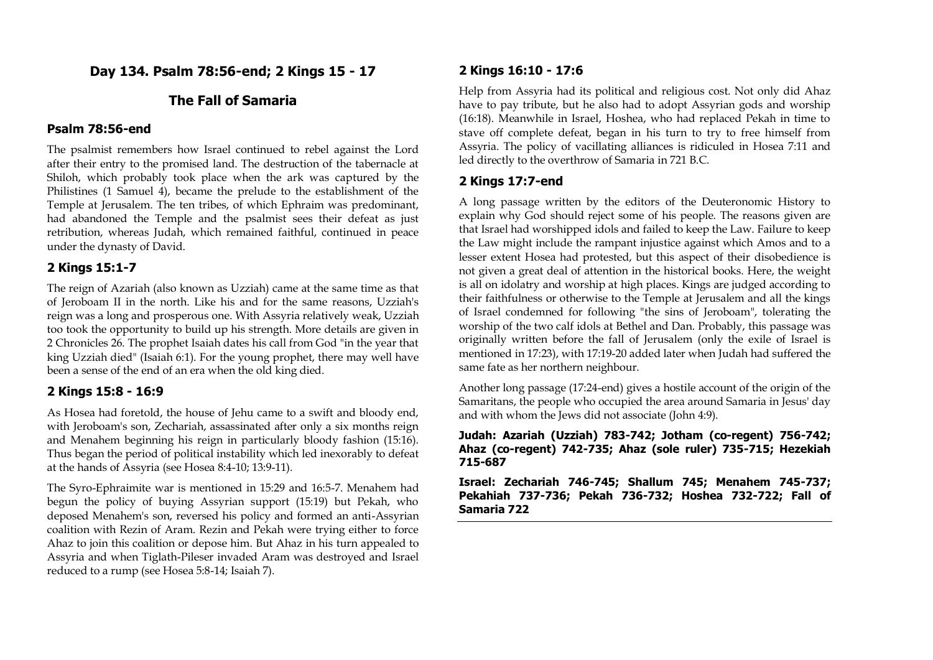**Day 134. Psalm 78:56-end; 2 Kings 15 - 17**

## **The Fall of Samaria**

## **Psalm 78:56-end**

The psalmist remembers how Israel continued to rebel against the Lord after their entry to the promised land. The destruction of the tabernacle at Shiloh, which probably took place when the ark was captured by the Philistines (1 Samuel 4), became the prelude to the establishment of the Temple at Jerusalem. The ten tribes, of which Ephraim was predominant, had abandoned the Temple and the psalmist sees their defeat as just retribution, whereas Judah, which remained faithful, continued in peace under the dynasty of David.

#### **2 Kings 15:1-7**

The reign of Azariah (also known as Uzziah) came at the same time as that of Jeroboam II in the north. Like his and for the same reasons, Uzziah's reign was a long and prosperous one. With Assyria relatively weak, Uzziah too took the opportunity to build up his strength. More details are given in 2 Chronicles 26. The prophet Isaiah dates his call from God "in the year that king Uzziah died" (Isaiah 6:1). For the young prophet, there may well have been a sense of the end of an era when the old king died.

#### **2 Kings 15:8 - 16:9**

As Hosea had foretold, the house of Jehu came to a swift and bloody end, with Jeroboam's son, Zechariah, assassinated after only a six months reign and Menahem beginning his reign in particularly bloody fashion (15:16). Thus began the period of political instability which led inexorably to defeat at the hands of Assyria (see Hosea 8:4-10; 13:9-11).

The Syro-Ephraimite war is mentioned in 15:29 and 16:5-7. Menahem had begun the policy of buying Assyrian support (15:19) but Pekah, who deposed Menahem's son, reversed his policy and formed an anti-Assyrian coalition with Rezin of Aram. Rezin and Pekah were trying either to force Ahaz to join this coalition or depose him. But Ahaz in his turn appealed to Assyria and when Tiglath-Pileser invaded Aram was destroyed and Israel reduced to a rump (see Hosea 5:8-14; Isaiah 7).

#### **2 Kings 16:10 - 17:6**

Help from Assyria had its political and religious cost. Not only did Ahaz have to pay tribute, but he also had to adopt Assyrian gods and worship (16:18). Meanwhile in Israel, Hoshea, who had replaced Pekah in time to stave off complete defeat, began in his turn to try to free himself from Assyria. The policy of vacillating alliances is ridiculed in Hosea 7:11 and led directly to the overthrow of Samaria in 721 B.C.

#### **2 Kings 17:7-end**

A long passage written by the editors of the Deuteronomic History to explain why God should reject some of his people. The reasons given are that Israel had worshipped idols and failed to keep the Law. Failure to keep the Law might include the rampant injustice against which Amos and to a lesser extent Hosea had protested, but this aspect of their disobedience is not given a great deal of attention in the historical books. Here, the weight is all on idolatry and worship at high places. Kings are judged according to their faithfulness or otherwise to the Temple at Jerusalem and all the kings of Israel condemned for following "the sins of Jeroboam", tolerating the worship of the two calf idols at Bethel and Dan. Probably, this passage was originally written before the fall of Jerusalem (only the exile of Israel is mentioned in 17:23), with 17:19-20 added later when Judah had suffered the same fate as her northern neighbour.

Another long passage (17:24-end) gives a hostile account of the origin of the Samaritans, the people who occupied the area around Samaria in Jesus' day and with whom the Jews did not associate (John 4:9).

#### **Judah: Azariah (Uzziah) 783-742; Jotham (co-regent) 756-742; Ahaz (co-regent) 742-735; Ahaz (sole ruler) 735-715; Hezekiah 715-687**

**Israel: Zechariah 746-745; Shallum 745; Menahem 745-737; Pekahiah 737-736; Pekah 736-732; Hoshea 732-722; Fall of Samaria 722**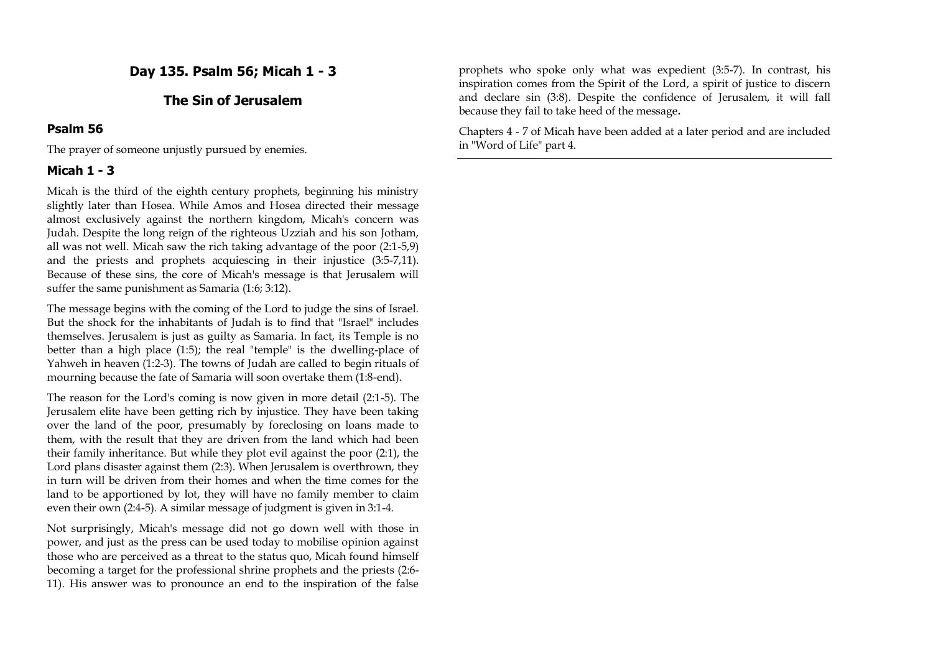**Day 135. Psalm 56; Micah 1 - 3**

## **The Sin of Jerusalem**

#### **Psalm 56**

The prayer of someone unjustly pursued by enemies.

#### **Micah 1 - 3**

Micah is the third of the eighth century prophets, beginning his ministry slightly later than Hosea. While Amos and Hosea directed their message almost exclusively against the northern kingdom, Micah's concern was Judah. Despite the long reign of the righteous Uzziah and his son Jotham, all was not well. Micah saw the rich taking advantage of the poor (2:1-5,9) and the priests and prophets acquiescing in their injustice (3:5-7,11). Because of these sins, the core of Micah's message is that Jerusalem will suffer the same punishment as Samaria (1:6; 3:12).

The message begins with the coming of the Lord to judge the sins of Israel. But the shock for the inhabitants of Judah is to find that "Israel" includes themselves. Jerusalem is just as guilty as Samaria. In fact, its Temple is no better than a high place (1:5); the real "temple" is the dwelling-place of Yahweh in heaven (1:2-3). The towns of Judah are called to begin rituals of mourning because the fate of Samaria will soon overtake them (1:8-end).

The reason for the Lord's coming is now given in more detail (2:1-5). The Jerusalem elite have been getting rich by injustice. They have been taking over the land of the poor, presumably by foreclosing on loans made to them, with the result that they are driven from the land which had been their family inheritance. But while they plot evil against the poor (2:1), the Lord plans disaster against them (2:3). When Jerusalem is overthrown, they in turn will be driven from their homes and when the time comes for the land to be apportioned by lot, they will have no family member to claim even their own (2:4-5). A similar message of judgment is given in 3:1-4.

Not surprisingly, Micah's message did not go down well with those in power, and just as the press can be used today to mobilise opinion against those who are perceived as a threat to the status quo, Micah found himself becoming a target for the professional shrine prophets and the priests (2:6- 11). His answer was to pronounce an end to the inspiration of the false

prophets who spoke only what was expedient (3:5-7). In contrast, his inspiration comes from the Spirit of the Lord, a spirit of justice to discern and declare sin (3:8). Despite the confidence of Jerusalem, it will fall because they fail to take heed of the message**.** 

Chapters 4 - 7 of Micah have been added at a later period and are included in "Word of Life" part 4.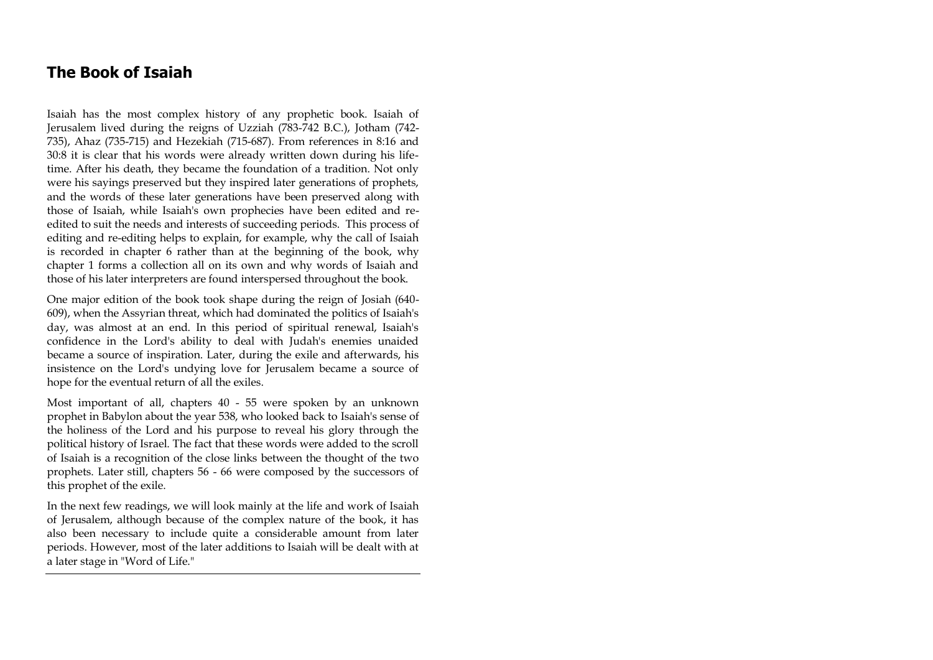## **The Book of Isaiah**

Isaiah has the most complex history of any prophetic book. Isaiah of Jerusalem lived during the reigns of Uzziah (783-742 B.C.), Jotham (742- 735), Ahaz (735-715) and Hezekiah (715-687). From references in 8:16 and 30:8 it is clear that his words were already written down during his lifetime. After his death, they became the foundation of a tradition. Not only were his sayings preserved but they inspired later generations of prophets, and the words of these later generations have been preserved along with those of Isaiah, while Isaiah's own prophecies have been edited and reedited to suit the needs and interests of succeeding periods. This process of editing and re-editing helps to explain, for example, why the call of Isaiah is recorded in chapter 6 rather than at the beginning of the book, why chapter 1 forms a collection all on its own and why words of Isaiah and those of his later interpreters are found interspersed throughout the book.

One major edition of the book took shape during the reign of Josiah (640- 609), when the Assyrian threat, which had dominated the politics of Isaiah's day, was almost at an end. In this period of spiritual renewal, Isaiah's confidence in the Lord's ability to deal with Judah's enemies unaided became a source of inspiration. Later, during the exile and afterwards, his insistence on the Lord's undying love for Jerusalem became a source of hope for the eventual return of all the exiles.

Most important of all, chapters 40 - 55 were spoken by an unknown prophet in Babylon about the year 538, who looked back to Isaiah's sense of the holiness of the Lord and his purpose to reveal his glory through the political history of Israel. The fact that these words were added to the scroll of Isaiah is a recognition of the close links between the thought of the two prophets. Later still, chapters 56 - 66 were composed by the successors of this prophet of the exile.

In the next few readings, we will look mainly at the life and work of Isaiah of Jerusalem, although because of the complex nature of the book, it has also been necessary to include quite a considerable amount from later periods. However, most of the later additions to Isaiah will be dealt with at a later stage in "Word of Life."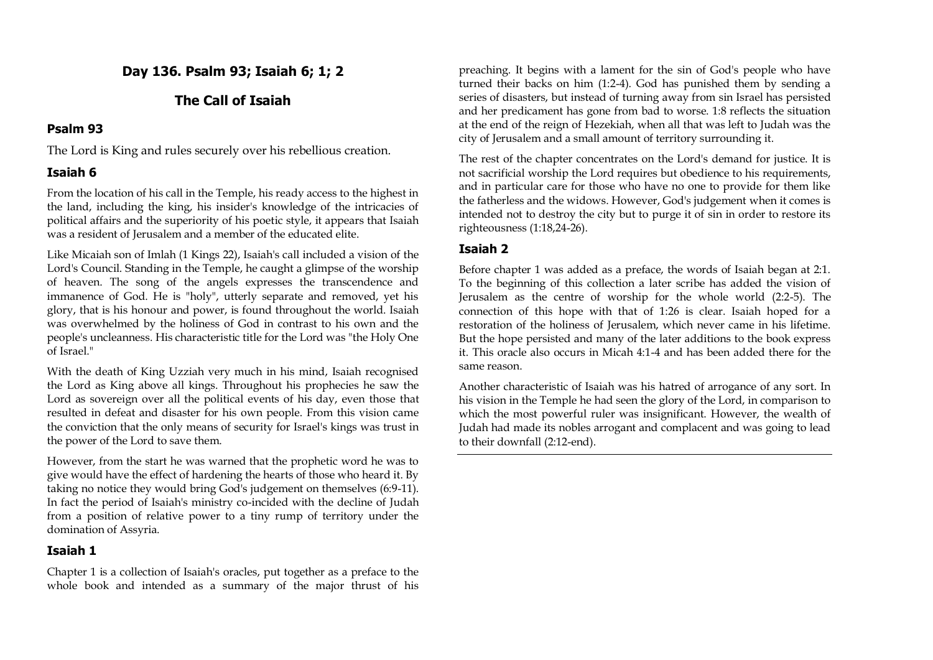## **Day 136. Psalm 93; Isaiah 6; 1; 2**

## **The Call of Isaiah**

## **Psalm 93**

The Lord is King and rules securely over his rebellious creation.

## **Isaiah 6**

From the location of his call in the Temple, his ready access to the highest in the land, including the king, his insider's knowledge of the intricacies of political affairs and the superiority of his poetic style, it appears that Isaiah was a resident of Jerusalem and a member of the educated elite.

Like Micaiah son of Imlah (1 Kings 22), Isaiah's call included a vision of the Lord's Council. Standing in the Temple, he caught a glimpse of the worship of heaven. The song of the angels expresses the transcendence and immanence of God. He is "holy", utterly separate and removed, yet his glory, that is his honour and power, is found throughout the world. Isaiah was overwhelmed by the holiness of God in contrast to his own and the people's uncleanness. His characteristic title for the Lord was "the Holy One of Israel."

With the death of King Uzziah very much in his mind, Isaiah recognised the Lord as King above all kings. Throughout his prophecies he saw the Lord as sovereign over all the political events of his day, even those that resulted in defeat and disaster for his own people. From this vision came the conviction that the only means of security for Israel's kings was trust in the power of the Lord to save them.

However, from the start he was warned that the prophetic word he was to give would have the effect of hardening the hearts of those who heard it. By taking no notice they would bring God's judgement on themselves (6:9-11). In fact the period of Isaiah's ministry co-incided with the decline of Judah from a position of relative power to a tiny rump of territory under the domination of Assyria.

## **Isaiah 1**

Chapter 1 is a collection of Isaiah's oracles, put together as a preface to the whole book and intended as a summary of the major thrust of his preaching. It begins with a lament for the sin of God's people who have turned their backs on him (1:2-4). God has punished them by sending a series of disasters, but instead of turning away from sin Israel has persisted and her predicament has gone from bad to worse. 1:8 reflects the situation at the end of the reign of Hezekiah, when all that was left to Judah was the city of Jerusalem and a small amount of territory surrounding it.

The rest of the chapter concentrates on the Lord's demand for justice. It is not sacrificial worship the Lord requires but obedience to his requirements, and in particular care for those who have no one to provide for them like the fatherless and the widows. However, God's judgement when it comes is intended not to destroy the city but to purge it of sin in order to restore its righteousness (1:18,24-26).

## **Isaiah 2**

Before chapter 1 was added as a preface, the words of Isaiah began at 2:1. To the beginning of this collection a later scribe has added the vision of Jerusalem as the centre of worship for the whole world (2:2-5). The connection of this hope with that of 1:26 is clear. Isaiah hoped for a restoration of the holiness of Jerusalem, which never came in his lifetime. But the hope persisted and many of the later additions to the book express it. This oracle also occurs in Micah 4:1-4 and has been added there for the same reason.

Another characteristic of Isaiah was his hatred of arrogance of any sort. In his vision in the Temple he had seen the glory of the Lord, in comparison to which the most powerful ruler was insignificant. However, the wealth of Judah had made its nobles arrogant and complacent and was going to lead to their downfall (2:12-end).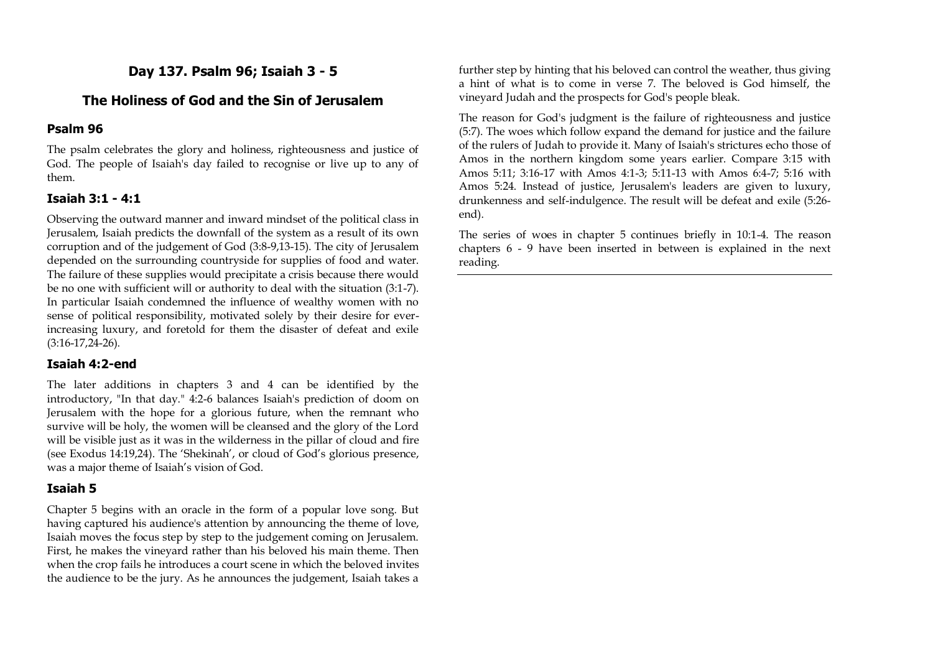## **Day 137. Psalm 96; Isaiah 3 - 5**

## **The Holiness of God and the Sin of Jerusalem**

## **Psalm 96**

The psalm celebrates the glory and holiness, righteousness and justice of God. The people of Isaiah's day failed to recognise or live up to any of them.

## **Isaiah 3:1 - 4:1**

Observing the outward manner and inward mindset of the political class in Jerusalem, Isaiah predicts the downfall of the system as a result of its own corruption and of the judgement of God (3:8-9,13-15). The city of Jerusalem depended on the surrounding countryside for supplies of food and water. The failure of these supplies would precipitate a crisis because there would be no one with sufficient will or authority to deal with the situation (3:1-7). In particular Isaiah condemned the influence of wealthy women with no sense of political responsibility, motivated solely by their desire for everincreasing luxury, and foretold for them the disaster of defeat and exile (3:16-17,24-26).

## **Isaiah 4:2-end**

The later additions in chapters 3 and 4 can be identified by the introductory, "In that day." 4:2-6 balances Isaiah's prediction of doom on Jerusalem with the hope for a glorious future, when the remnant who survive will be holy, the women will be cleansed and the glory of the Lord will be visible just as it was in the wilderness in the pillar of cloud and fire (see Exodus 14:19,24). The 'Shekinah', or cloud of God's glorious presence, was a major theme of Isaiah's vision of God.

## **Isaiah 5**

Chapter 5 begins with an oracle in the form of a popular love song. But having captured his audience's attention by announcing the theme of love, Isaiah moves the focus step by step to the judgement coming on Jerusalem. First, he makes the vineyard rather than his beloved his main theme. Then when the crop fails he introduces a court scene in which the beloved invites the audience to be the jury. As he announces the judgement, Isaiah takes a further step by hinting that his beloved can control the weather, thus giving a hint of what is to come in verse 7. The beloved is God himself, the vineyard Judah and the prospects for God's people bleak.

The reason for God's judgment is the failure of righteousness and justice (5:7). The woes which follow expand the demand for justice and the failure of the rulers of Judah to provide it. Many of Isaiah's strictures echo those of Amos in the northern kingdom some years earlier. Compare 3:15 with Amos 5:11; 3:16-17 with Amos 4:1-3; 5:11-13 with Amos 6:4-7; 5:16 with Amos 5:24. Instead of justice, Jerusalem's leaders are given to luxury, drunkenness and self-indulgence. The result will be defeat and exile (5:26 end).

The series of woes in chapter 5 continues briefly in 10:1-4. The reason chapters 6 - 9 have been inserted in between is explained in the next reading.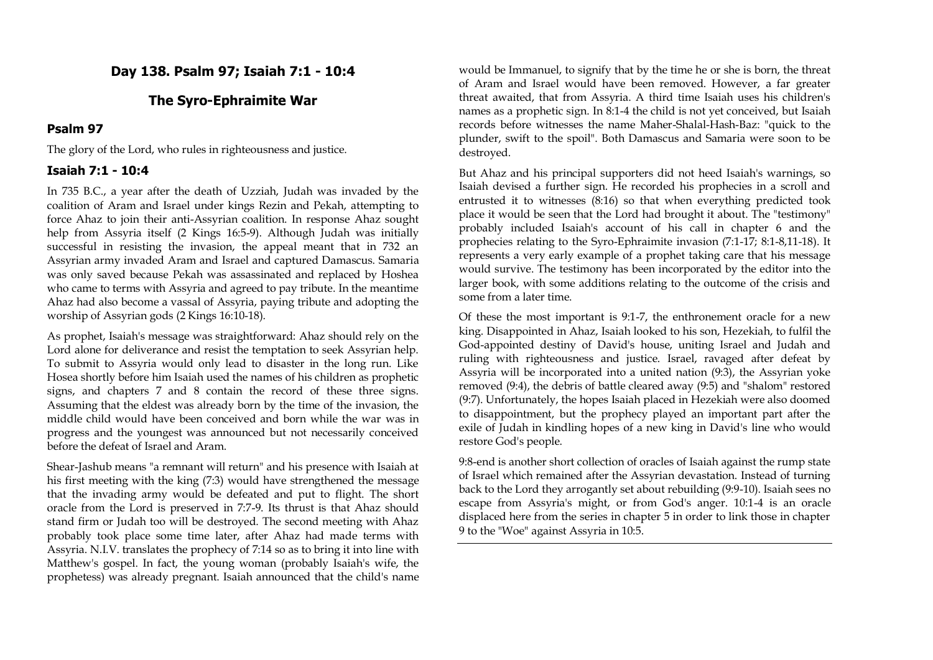## **Day 138. Psalm 97; Isaiah 7:1 - 10:4**

## **The Syro-Ephraimite War**

#### **Psalm 97**

The glory of the Lord, who rules in righteousness and justice.

## **Isaiah 7:1 - 10:4**

In 735 B.C., a year after the death of Uzziah, Judah was invaded by the coalition of Aram and Israel under kings Rezin and Pekah, attempting to force Ahaz to join their anti-Assyrian coalition. In response Ahaz sought help from Assyria itself (2 Kings 16:5-9). Although Judah was initially successful in resisting the invasion, the appeal meant that in 732 an Assyrian army invaded Aram and Israel and captured Damascus. Samaria was only saved because Pekah was assassinated and replaced by Hoshea who came to terms with Assyria and agreed to pay tribute. In the meantime Ahaz had also become a vassal of Assyria, paying tribute and adopting the worship of Assyrian gods (2 Kings 16:10-18).

As prophet, Isaiah's message was straightforward: Ahaz should rely on the Lord alone for deliverance and resist the temptation to seek Assyrian help. To submit to Assyria would only lead to disaster in the long run. Like Hosea shortly before him Isaiah used the names of his children as prophetic signs, and chapters 7 and 8 contain the record of these three signs. Assuming that the eldest was already born by the time of the invasion, the middle child would have been conceived and born while the war was in progress and the youngest was announced but not necessarily conceived before the defeat of Israel and Aram.

Shear-Jashub means "a remnant will return" and his presence with Isaiah at his first meeting with the king (7:3) would have strengthened the message that the invading army would be defeated and put to flight. The short oracle from the Lord is preserved in 7:7-9. Its thrust is that Ahaz should stand firm or Judah too will be destroyed. The second meeting with Ahaz probably took place some time later, after Ahaz had made terms with Assyria. N.I.V. translates the prophecy of 7:14 so as to bring it into line with Matthew's gospel. In fact, the young woman (probably Isaiah's wife, the prophetess) was already pregnant. Isaiah announced that the child's name

would be Immanuel, to signify that by the time he or she is born, the threat of Aram and Israel would have been removed. However, a far greater threat awaited, that from Assyria. A third time Isaiah uses his children's names as a prophetic sign. In 8:1-4 the child is not yet conceived, but Isaiah records before witnesses the name Maher-Shalal-Hash-Baz: "quick to the plunder, swift to the spoil". Both Damascus and Samaria were soon to be destroyed.

But Ahaz and his principal supporters did not heed Isaiah's warnings, so Isaiah devised a further sign. He recorded his prophecies in a scroll and entrusted it to witnesses (8:16) so that when everything predicted took place it would be seen that the Lord had brought it about. The "testimony" probably included Isaiah's account of his call in chapter 6 and the prophecies relating to the Syro-Ephraimite invasion (7:1-17; 8:1-8,11-18). It represents a very early example of a prophet taking care that his message would survive. The testimony has been incorporated by the editor into the larger book, with some additions relating to the outcome of the crisis and some from a later time.

Of these the most important is 9:1-7, the enthronement oracle for a new king. Disappointed in Ahaz, Isaiah looked to his son, Hezekiah, to fulfil the God-appointed destiny of David's house, uniting Israel and Judah and ruling with righteousness and justice. Israel, ravaged after defeat by Assyria will be incorporated into a united nation (9:3), the Assyrian yoke removed (9:4), the debris of battle cleared away (9:5) and "shalom" restored (9:7). Unfortunately, the hopes Isaiah placed in Hezekiah were also doomed to disappointment, but the prophecy played an important part after the exile of Judah in kindling hopes of a new king in David's line who would restore God's people.

9:8-end is another short collection of oracles of Isaiah against the rump state of Israel which remained after the Assyrian devastation. Instead of turning back to the Lord they arrogantly set about rebuilding (9:9-10). Isaiah sees no escape from Assyria's might, or from God's anger. 10:1-4 is an oracle displaced here from the series in chapter 5 in order to link those in chapter 9 to the "Woe" against Assyria in 10:5.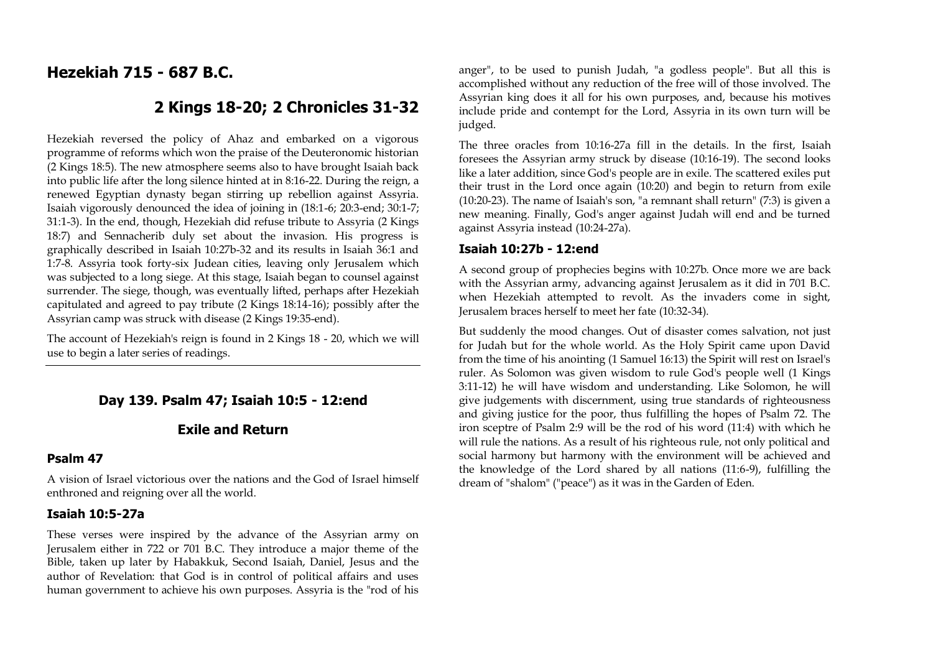## **Hezekiah 715 - 687 B.C.**

## **2 Kings 18-20; 2 Chronicles 31-32**

Hezekiah reversed the policy of Ahaz and embarked on a vigorous programme of reforms which won the praise of the Deuteronomic historian (2 Kings 18:5). The new atmosphere seems also to have brought Isaiah back into public life after the long silence hinted at in 8:16-22. During the reign, a renewed Egyptian dynasty began stirring up rebellion against Assyria. Isaiah vigorously denounced the idea of joining in (18:1-6; 20:3-end; 30:1-7; 31:1-3). In the end, though, Hezekiah did refuse tribute to Assyria (2 Kings 18:7) and Sennacherib duly set about the invasion. His progress is graphically described in Isaiah 10:27b-32 and its results in Isaiah 36:1 and 1:7-8. Assyria took forty-six Judean cities, leaving only Jerusalem which was subjected to a long siege. At this stage, Isaiah began to counsel against surrender. The siege, though, was eventually lifted, perhaps after Hezekiah capitulated and agreed to pay tribute (2 Kings 18:14-16); possibly after the Assyrian camp was struck with disease (2 Kings 19:35-end).

The account of Hezekiah's reign is found in 2 Kings 18 - 20, which we will use to begin a later series of readings.

## **Day 139. Psalm 47; Isaiah 10:5 - 12:end**

## **Exile and Return**

#### **Psalm 47**

A vision of Israel victorious over the nations and the God of Israel himself enthroned and reigning over all the world.

#### **Isaiah 10:5-27a**

These verses were inspired by the advance of the Assyrian army on Jerusalem either in 722 or 701 B.C. They introduce a major theme of the Bible, taken up later by Habakkuk, Second Isaiah, Daniel, Jesus and the author of Revelation: that God is in control of political affairs and uses human government to achieve his own purposes. Assyria is the "rod of his anger", to be used to punish Judah, "a godless people". But all this is accomplished without any reduction of the free will of those involved. The Assyrian king does it all for his own purposes, and, because his motives include pride and contempt for the Lord, Assyria in its own turn will be judged.

The three oracles from 10:16-27a fill in the details. In the first, Isaiah foresees the Assyrian army struck by disease (10:16-19). The second looks like a later addition, since God's people are in exile. The scattered exiles put their trust in the Lord once again (10:20) and begin to return from exile (10:20-23). The name of Isaiah's son, "a remnant shall return" (7:3) is given a new meaning. Finally, God's anger against Judah will end and be turned against Assyria instead (10:24-27a).

#### **Isaiah 10:27b - 12:end**

A second group of prophecies begins with 10:27b. Once more we are back with the Assyrian army, advancing against Jerusalem as it did in 701 B.C. when Hezekiah attempted to revolt. As the invaders come in sight, Jerusalem braces herself to meet her fate (10:32-34).

But suddenly the mood changes. Out of disaster comes salvation, not just for Judah but for the whole world. As the Holy Spirit came upon David from the time of his anointing (1 Samuel 16:13) the Spirit will rest on Israel's ruler. As Solomon was given wisdom to rule God's people well (1 Kings 3:11-12) he will have wisdom and understanding. Like Solomon, he will give judgements with discernment, using true standards of righteousness and giving justice for the poor, thus fulfilling the hopes of Psalm 72. The iron sceptre of Psalm 2:9 will be the rod of his word (11:4) with which he will rule the nations. As a result of his righteous rule, not only political and social harmony but harmony with the environment will be achieved and the knowledge of the Lord shared by all nations (11:6-9), fulfilling the dream of "shalom" ("peace") as it was in the Garden of Eden.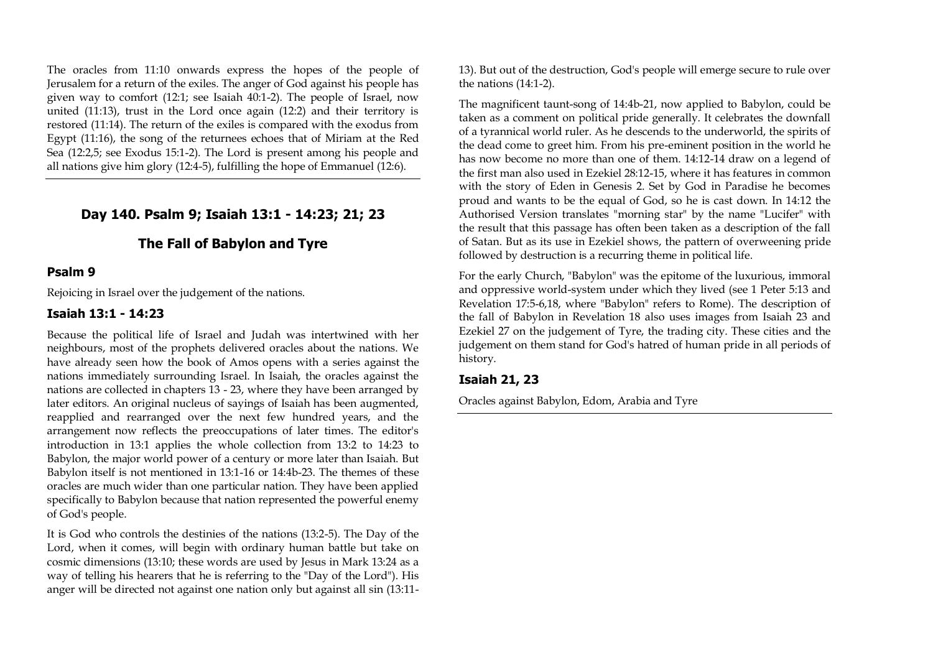The oracles from 11:10 onwards express the hopes of the people of Jerusalem for a return of the exiles. The anger of God against his people has given way to comfort (12:1; see Isaiah 40:1-2). The people of Israel, now united (11:13), trust in the Lord once again (12:2) and their territory is restored (11:14). The return of the exiles is compared with the exodus from Egypt (11:16), the song of the returnees echoes that of Miriam at the Red Sea (12:2,5; see Exodus 15:1-2). The Lord is present among his people and all nations give him glory (12:4-5), fulfilling the hope of Emmanuel (12:6).

## **Day 140. Psalm 9; Isaiah 13:1 - 14:23; 21; 23**

## **The Fall of Babylon and Tyre**

#### **Psalm 9**

Rejoicing in Israel over the judgement of the nations.

#### **Isaiah 13:1 - 14:23**

Because the political life of Israel and Judah was intertwined with her neighbours, most of the prophets delivered oracles about the nations. We have already seen how the book of Amos opens with a series against the nations immediately surrounding Israel. In Isaiah, the oracles against the nations are collected in chapters 13 - 23, where they have been arranged by later editors. An original nucleus of sayings of Isaiah has been augmented, reapplied and rearranged over the next few hundred years, and the arrangement now reflects the preoccupations of later times. The editor's introduction in 13:1 applies the whole collection from 13:2 to 14:23 to Babylon, the major world power of a century or more later than Isaiah. But Babylon itself is not mentioned in 13:1-16 or 14:4b-23. The themes of these oracles are much wider than one particular nation. They have been applied specifically to Babylon because that nation represented the powerful enemy of God's people.

It is God who controls the destinies of the nations (13:2-5). The Day of the Lord, when it comes, will begin with ordinary human battle but take on cosmic dimensions (13:10; these words are used by Jesus in Mark 13:24 as a way of telling his hearers that he is referring to the "Day of the Lord"). His anger will be directed not against one nation only but against all sin (13:1113). But out of the destruction, God's people will emerge secure to rule over the nations (14:1-2).

The magnificent taunt-song of 14:4b-21, now applied to Babylon, could be taken as a comment on political pride generally. It celebrates the downfall of a tyrannical world ruler. As he descends to the underworld, the spirits of the dead come to greet him. From his pre-eminent position in the world he has now become no more than one of them. 14:12-14 draw on a legend of the first man also used in Ezekiel 28:12-15, where it has features in common with the story of Eden in Genesis 2. Set by God in Paradise he becomes proud and wants to be the equal of God, so he is cast down. In 14:12 the Authorised Version translates "morning star" by the name "Lucifer" with the result that this passage has often been taken as a description of the fall of Satan. But as its use in Ezekiel shows, the pattern of overweening pride followed by destruction is a recurring theme in political life.

For the early Church, "Babylon" was the epitome of the luxurious, immoral and oppressive world-system under which they lived (see 1 Peter 5:13 and Revelation 17:5-6,18, where "Babylon" refers to Rome). The description of the fall of Babylon in Revelation 18 also uses images from Isaiah 23 and Ezekiel 27 on the judgement of Tyre, the trading city. These cities and the judgement on them stand for God's hatred of human pride in all periods of history.

#### **Isaiah 21, 23**

Oracles against Babylon, Edom, Arabia and Tyre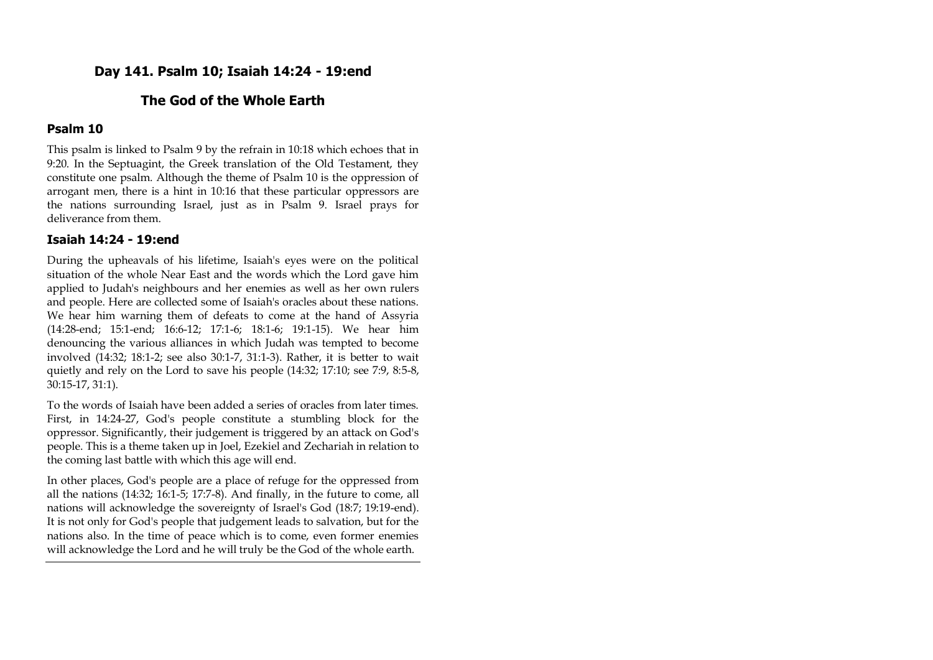## **Day 141. Psalm 10; Isaiah 14:24 - 19:end**

## **The God of the Whole Earth**

#### **Psalm 10**

This psalm is linked to Psalm 9 by the refrain in 10:18 which echoes that in 9:20. In the Septuagint, the Greek translation of the Old Testament, they constitute one psalm. Although the theme of Psalm 10 is the oppression of arrogant men, there is a hint in 10:16 that these particular oppressors are the nations surrounding Israel, just as in Psalm 9. Israel prays for deliverance from them.

#### **Isaiah 14:24 - 19:end**

During the upheavals of his lifetime, Isaiah's eyes were on the political situation of the whole Near East and the words which the Lord gave him applied to Judah's neighbours and her enemies as well as her own rulers and people. Here are collected some of Isaiah's oracles about these nations. We hear him warning them of defeats to come at the hand of Assyria (14:28-end; 15:1-end; 16:6-12; 17:1-6; 18:1-6; 19:1-15). We hear him denouncing the various alliances in which Judah was tempted to become involved (14:32; 18:1-2; see also 30:1-7, 31:1-3). Rather, it is better to wait quietly and rely on the Lord to save his people (14:32; 17:10; see 7:9, 8:5-8, 30:15-17, 31:1).

To the words of Isaiah have been added a series of oracles from later times. First, in 14:24-27, God's people constitute a stumbling block for the oppressor. Significantly, their judgement is triggered by an attack on God's people. This is a theme taken up in Joel, Ezekiel and Zechariah in relation to the coming last battle with which this age will end.

In other places, God's people are a place of refuge for the oppressed from all the nations (14:32; 16:1-5; 17:7-8). And finally, in the future to come, all nations will acknowledge the sovereignty of Israel's God (18:7; 19:19-end). It is not only for God's people that judgement leads to salvation, but for the nations also. In the time of peace which is to come, even former enemies will acknowledge the Lord and he will truly be the God of the whole earth.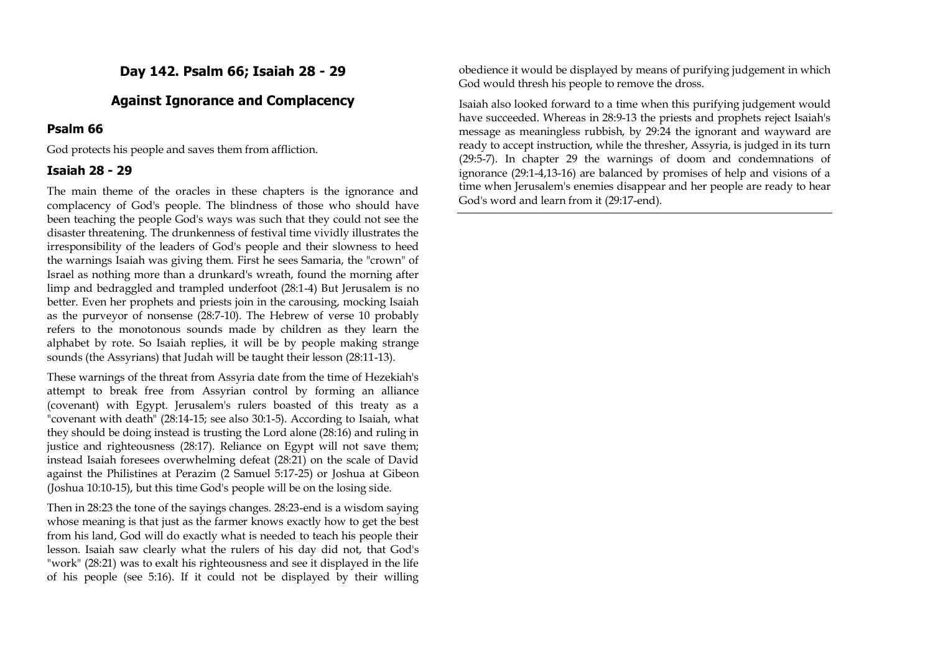## **Day 142. Psalm 66; Isaiah 28 - 29**

## **Against Ignorance and Complacency**

#### **Psalm 66**

God protects his people and saves them from affliction.

#### **Isaiah 28 - 29**

The main theme of the oracles in these chapters is the ignorance and complacency of God's people. The blindness of those who should have been teaching the people God's ways was such that they could not see the disaster threatening. The drunkenness of festival time vividly illustrates the irresponsibility of the leaders of God's people and their slowness to heed the warnings Isaiah was giving them. First he sees Samaria, the "crown" of Israel as nothing more than a drunkard's wreath, found the morning after limp and bedraggled and trampled underfoot (28:1-4) But Jerusalem is no better. Even her prophets and priests join in the carousing, mocking Isaiah as the purveyor of nonsense (28:7-10). The Hebrew of verse 10 probably refers to the monotonous sounds made by children as they learn the alphabet by rote. So Isaiah replies, it will be by people making strange sounds (the Assyrians) that Judah will be taught their lesson (28:11-13).

These warnings of the threat from Assyria date from the time of Hezekiah's attempt to break free from Assyrian control by forming an alliance (covenant) with Egypt. Jerusalem's rulers boasted of this treaty as a "covenant with death" (28:14-15; see also 30:1-5). According to Isaiah, what they should be doing instead is trusting the Lord alone (28:16) and ruling in justice and righteousness (28:17). Reliance on Egypt will not save them; instead Isaiah foresees overwhelming defeat (28:21) on the scale of David against the Philistines at Perazim (2 Samuel 5:17-25) or Joshua at Gibeon (Joshua 10:10-15), but this time God's people will be on the losing side.

Then in 28:23 the tone of the sayings changes. 28:23-end is a wisdom saying whose meaning is that just as the farmer knows exactly how to get the best from his land, God will do exactly what is needed to teach his people their lesson. Isaiah saw clearly what the rulers of his day did not, that God's "work" (28:21) was to exalt his righteousness and see it displayed in the life of his people (see 5:16). If it could not be displayed by their willing

obedience it would be displayed by means of purifying judgement in which God would thresh his people to remove the dross.

Isaiah also looked forward to a time when this purifying judgement would have succeeded. Whereas in 28:9-13 the priests and prophets reject Isaiah's message as meaningless rubbish, by 29:24 the ignorant and wayward are ready to accept instruction, while the thresher, Assyria, is judged in its turn (29:5-7). In chapter 29 the warnings of doom and condemnations of ignorance (29:1-4,13-16) are balanced by promises of help and visions of a time when Jerusalem's enemies disappear and her people are ready to hear God's word and learn from it (29:17-end).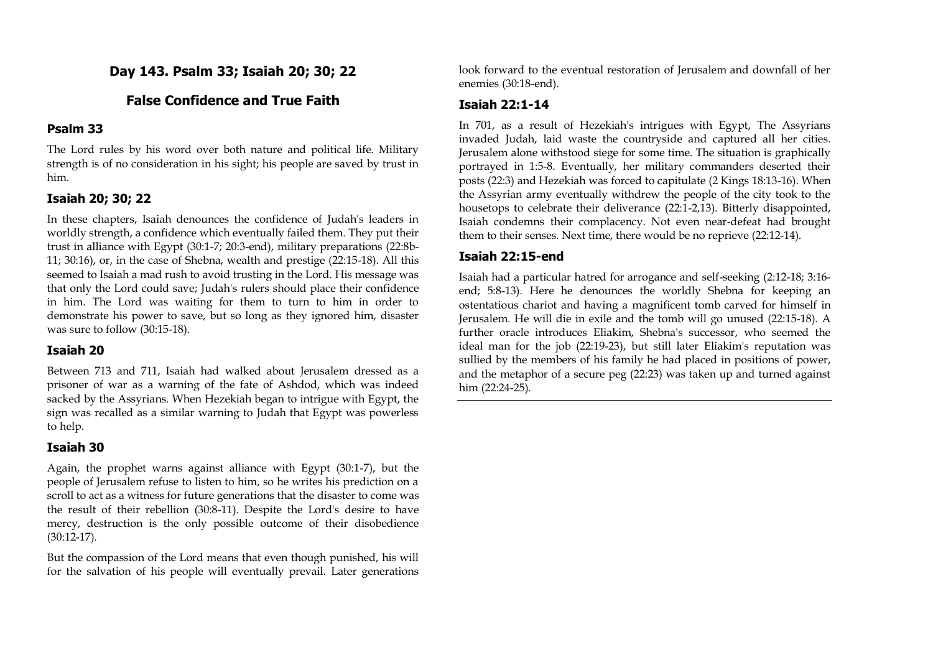**Day 143. Psalm 33; Isaiah 20; 30; 22**

## **False Confidence and True Faith**

## **Psalm 33**

The Lord rules by his word over both nature and political life. Military strength is of no consideration in his sight; his people are saved by trust in him.

#### **Isaiah 20; 30; 22**

In these chapters, Isaiah denounces the confidence of Judah's leaders in worldly strength, a confidence which eventually failed them. They put their trust in alliance with Egypt (30:1-7; 20:3-end), military preparations (22:8b-11; 30:16), or, in the case of Shebna, wealth and prestige (22:15-18). All this seemed to Isaiah a mad rush to avoid trusting in the Lord. His message was that only the Lord could save; Judah's rulers should place their confidence in him. The Lord was waiting for them to turn to him in order to demonstrate his power to save, but so long as they ignored him, disaster was sure to follow (30:15-18).

#### **Isaiah 20**

Between 713 and 711, Isaiah had walked about Jerusalem dressed as a prisoner of war as a warning of the fate of Ashdod, which was indeed sacked by the Assyrians. When Hezekiah began to intrigue with Egypt, the sign was recalled as a similar warning to Judah that Egypt was powerless to help.

## **Isaiah 30**

Again, the prophet warns against alliance with Egypt (30:1-7), but the people of Jerusalem refuse to listen to him, so he writes his prediction on a scroll to act as a witness for future generations that the disaster to come was the result of their rebellion (30:8-11). Despite the Lord's desire to have mercy, destruction is the only possible outcome of their disobedience (30:12-17).

But the compassion of the Lord means that even though punished, his will for the salvation of his people will eventually prevail. Later generations look forward to the eventual restoration of Jerusalem and downfall of her enemies (30:18-end).

## **Isaiah 22:1-14**

In 701, as a result of Hezekiah's intrigues with Egypt, The Assyrians invaded Judah, laid waste the countryside and captured all her cities. Jerusalem alone withstood siege for some time. The situation is graphically portrayed in 1:5-8. Eventually, her military commanders deserted their posts (22:3) and Hezekiah was forced to capitulate (2 Kings 18:13-16). When the Assyrian army eventually withdrew the people of the city took to the housetops to celebrate their deliverance (22:1-2,13). Bitterly disappointed, Isaiah condemns their complacency. Not even near-defeat had brought them to their senses. Next time, there would be no reprieve (22:12-14).

## **Isaiah 22:15-end**

Isaiah had a particular hatred for arrogance and self-seeking (2:12-18; 3:16 end; 5:8-13). Here he denounces the worldly Shebna for keeping an ostentatious chariot and having a magnificent tomb carved for himself in Jerusalem. He will die in exile and the tomb will go unused (22:15-18). A further oracle introduces Eliakim, Shebna's successor, who seemed the ideal man for the job (22:19-23), but still later Eliakim's reputation was sullied by the members of his family he had placed in positions of power, and the metaphor of a secure peg (22:23) was taken up and turned against him (22:24-25).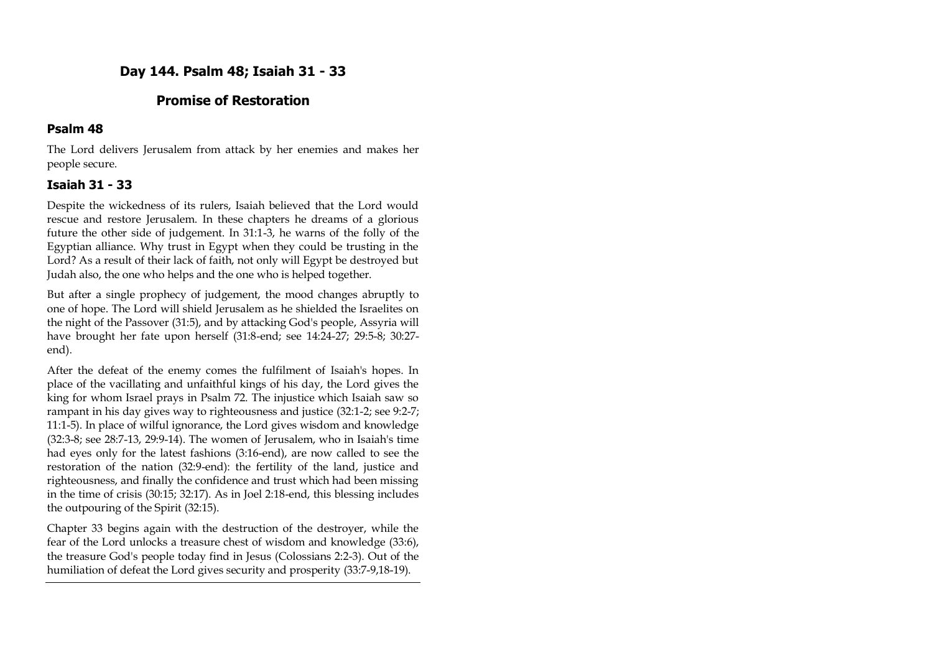## **Day 144. Psalm 48; Isaiah 31 - 33**

## **Promise of Restoration**

#### **Psalm 48**

The Lord delivers Jerusalem from attack by her enemies and makes her people secure.

## **Isaiah 31 - 33**

Despite the wickedness of its rulers, Isaiah believed that the Lord would rescue and restore Jerusalem. In these chapters he dreams of a glorious future the other side of judgement. In 31:1-3, he warns of the folly of the Egyptian alliance. Why trust in Egypt when they could be trusting in the Lord? As a result of their lack of faith, not only will Egypt be destroyed but Judah also, the one who helps and the one who is helped together.

But after a single prophecy of judgement, the mood changes abruptly to one of hope. The Lord will shield Jerusalem as he shielded the Israelites on the night of the Passover (31:5), and by attacking God's people, Assyria will have brought her fate upon herself (31:8-end; see 14:24-27; 29:5-8; 30:27 end).

After the defeat of the enemy comes the fulfilment of Isaiah's hopes. In place of the vacillating and unfaithful kings of his day, the Lord gives the king for whom Israel prays in Psalm 72. The injustice which Isaiah saw so rampant in his day gives way to righteousness and justice (32:1-2; see 9:2-7; 11:1-5). In place of wilful ignorance, the Lord gives wisdom and knowledge (32:3-8; see 28:7-13, 29:9-14). The women of Jerusalem, who in Isaiah's time had eyes only for the latest fashions (3:16-end), are now called to see the restoration of the nation (32:9-end): the fertility of the land, justice and righteousness, and finally the confidence and trust which had been missing in the time of crisis (30:15; 32:17). As in Joel 2:18-end, this blessing includes the outpouring of the Spirit (32:15).

Chapter 33 begins again with the destruction of the destroyer, while the fear of the Lord unlocks a treasure chest of wisdom and knowledge (33:6), the treasure God's people today find in Jesus (Colossians 2:2-3). Out of the humiliation of defeat the Lord gives security and prosperity (33:7-9,18-19).